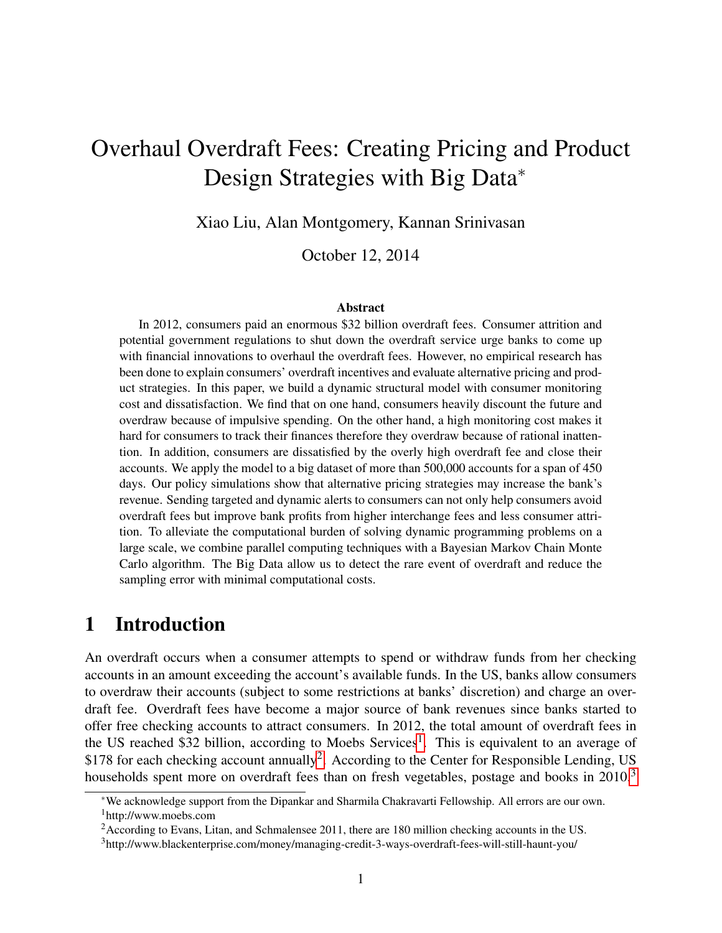# Overhaul Overdraft Fees: Creating Pricing and Product Design Strategies with Big Data<sup>\*</sup>

Xiao Liu, Alan Montgomery, Kannan Srinivasan

October 12, 2014

#### Abstract

In 2012, consumers paid an enormous \$32 billion overdraft fees. Consumer attrition and potential government regulations to shut down the overdraft service urge banks to come up with financial innovations to overhaul the overdraft fees. However, no empirical research has been done to explain consumers' overdraft incentives and evaluate alternative pricing and product strategies. In this paper, we build a dynamic structural model with consumer monitoring cost and dissatisfaction. We find that on one hand, consumers heavily discount the future and overdraw because of impulsive spending. On the other hand, a high monitoring cost makes it hard for consumers to track their finances therefore they overdraw because of rational inattention. In addition, consumers are dissatisfied by the overly high overdraft fee and close their accounts. We apply the model to a big dataset of more than 500,000 accounts for a span of 450 days. Our policy simulations show that alternative pricing strategies may increase the bank's revenue. Sending targeted and dynamic alerts to consumers can not only help consumers avoid overdraft fees but improve bank profits from higher interchange fees and less consumer attrition. To alleviate the computational burden of solving dynamic programming problems on a large scale, we combine parallel computing techniques with a Bayesian Markov Chain Monte Carlo algorithm. The Big Data allow us to detect the rare event of overdraft and reduce the sampling error with minimal computational costs.

## 1 Introduction

An overdraft occurs when a consumer attempts to spend or withdraw funds from her checking accounts in an amount exceeding the account's available funds. In the US, banks allow consumers to overdraw their accounts (subject to some restrictions at banks' discretion) and charge an overdraft fee. Overdraft fees have become a major source of bank revenues since banks started to offer free checking accounts to attract consumers. In 2012, the total amount of overdraft fees in the US reached \$32 billion, according to Moebs Services<sup>[1](#page-0-0)</sup>. This is equivalent to an average of \$178 for each checking account annually<sup>[2](#page-0-1)</sup>. According to the Center for Responsible Lending, US households spent more on overdraft fees than on fresh vegetables, postage and books in 2010.<sup>[3](#page-0-2)</sup>

<span id="page-0-0"></span><sup>∗</sup>We acknowledge support from the Dipankar and Sharmila Chakravarti Fellowship. All errors are our own. <sup>1</sup>http://www.moebs.com

<span id="page-0-1"></span><sup>&</sup>lt;sup>2</sup> According to Evans, Litan, and Schmalensee 2011, there are 180 million checking accounts in the US.

<span id="page-0-2"></span><sup>3</sup>http://www.blackenterprise.com/money/managing-credit-3-ways-overdraft-fees-will-still-haunt-you/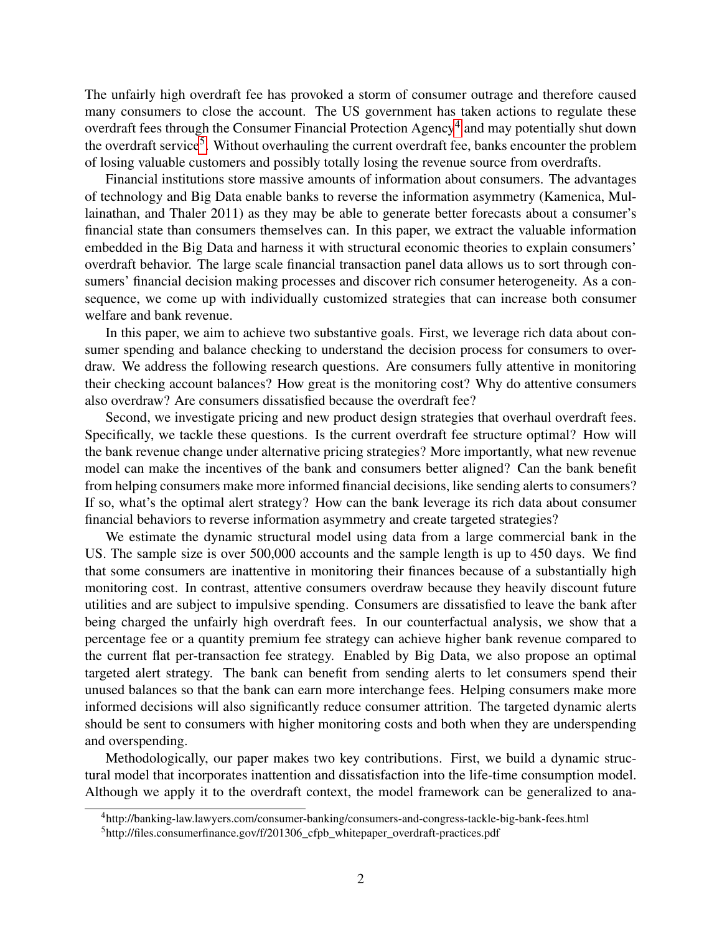The unfairly high overdraft fee has provoked a storm of consumer outrage and therefore caused many consumers to close the account. The US government has taken actions to regulate these overdraft fees through the Consumer Financial Protection Agency<sup>[4](#page-1-0)</sup> and may potentially shut down the overdraft service<sup>[5](#page-1-1)</sup>. Without overhauling the current overdraft fee, banks encounter the problem of losing valuable customers and possibly totally losing the revenue source from overdrafts.

Financial institutions store massive amounts of information about consumers. The advantages of technology and Big Data enable banks to reverse the information asymmetry (Kamenica, Mullainathan, and Thaler 2011) as they may be able to generate better forecasts about a consumer's financial state than consumers themselves can. In this paper, we extract the valuable information embedded in the Big Data and harness it with structural economic theories to explain consumers' overdraft behavior. The large scale financial transaction panel data allows us to sort through consumers' financial decision making processes and discover rich consumer heterogeneity. As a consequence, we come up with individually customized strategies that can increase both consumer welfare and bank revenue.

In this paper, we aim to achieve two substantive goals. First, we leverage rich data about consumer spending and balance checking to understand the decision process for consumers to overdraw. We address the following research questions. Are consumers fully attentive in monitoring their checking account balances? How great is the monitoring cost? Why do attentive consumers also overdraw? Are consumers dissatisfied because the overdraft fee?

Second, we investigate pricing and new product design strategies that overhaul overdraft fees. Specifically, we tackle these questions. Is the current overdraft fee structure optimal? How will the bank revenue change under alternative pricing strategies? More importantly, what new revenue model can make the incentives of the bank and consumers better aligned? Can the bank benefit from helping consumers make more informed financial decisions, like sending alerts to consumers? If so, what's the optimal alert strategy? How can the bank leverage its rich data about consumer financial behaviors to reverse information asymmetry and create targeted strategies?

We estimate the dynamic structural model using data from a large commercial bank in the US. The sample size is over 500,000 accounts and the sample length is up to 450 days. We find that some consumers are inattentive in monitoring their finances because of a substantially high monitoring cost. In contrast, attentive consumers overdraw because they heavily discount future utilities and are subject to impulsive spending. Consumers are dissatisfied to leave the bank after being charged the unfairly high overdraft fees. In our counterfactual analysis, we show that a percentage fee or a quantity premium fee strategy can achieve higher bank revenue compared to the current flat per-transaction fee strategy. Enabled by Big Data, we also propose an optimal targeted alert strategy. The bank can benefit from sending alerts to let consumers spend their unused balances so that the bank can earn more interchange fees. Helping consumers make more informed decisions will also significantly reduce consumer attrition. The targeted dynamic alerts should be sent to consumers with higher monitoring costs and both when they are underspending and overspending.

Methodologically, our paper makes two key contributions. First, we build a dynamic structural model that incorporates inattention and dissatisfaction into the life-time consumption model. Although we apply it to the overdraft context, the model framework can be generalized to ana-

<span id="page-1-0"></span><sup>4</sup>http://banking-law.lawyers.com/consumer-banking/consumers-and-congress-tackle-big-bank-fees.html

<span id="page-1-1"></span><sup>5</sup>http://files.consumerfinance.gov/f/201306\_cfpb\_whitepaper\_overdraft-practices.pdf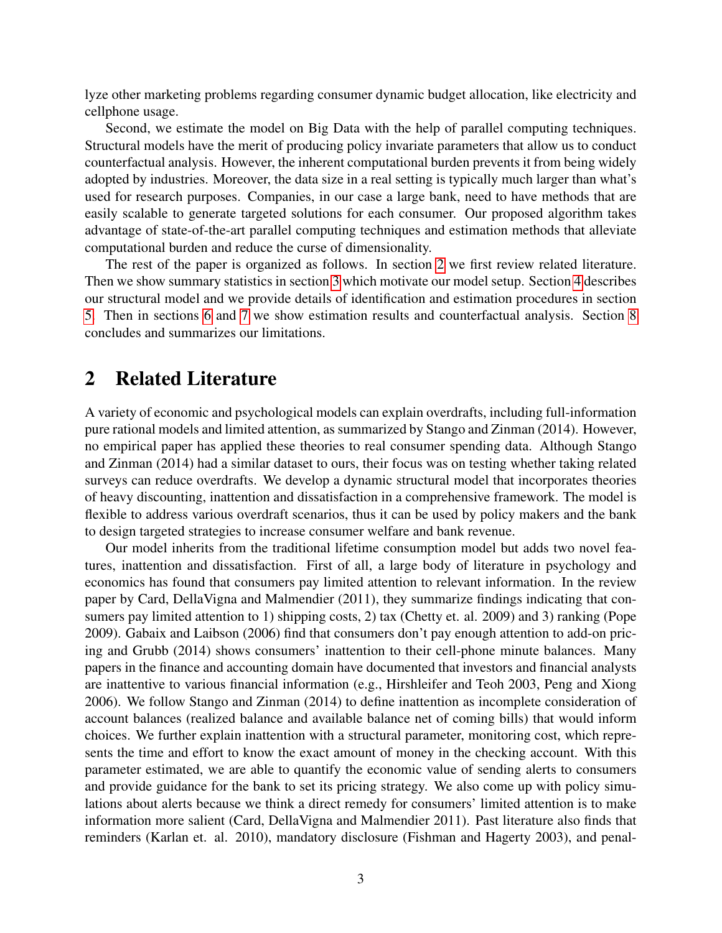lyze other marketing problems regarding consumer dynamic budget allocation, like electricity and cellphone usage.

Second, we estimate the model on Big Data with the help of parallel computing techniques. Structural models have the merit of producing policy invariate parameters that allow us to conduct counterfactual analysis. However, the inherent computational burden prevents it from being widely adopted by industries. Moreover, the data size in a real setting is typically much larger than what's used for research purposes. Companies, in our case a large bank, need to have methods that are easily scalable to generate targeted solutions for each consumer. Our proposed algorithm takes advantage of state-of-the-art parallel computing techniques and estimation methods that alleviate computational burden and reduce the curse of dimensionality.

The rest of the paper is organized as follows. In section [2](#page-2-0) we first review related literature. Then we show summary statistics in section [3](#page-3-0) which motivate our model setup. Section [4](#page-12-0) describes our structural model and we provide details of identification and estimation procedures in section [5.](#page-22-0) Then in sections [6](#page-26-0) and [7](#page-29-0) we show estimation results and counterfactual analysis. Section [8](#page-32-0) concludes and summarizes our limitations.

## <span id="page-2-0"></span>2 Related Literature

A variety of economic and psychological models can explain overdrafts, including full-information pure rational models and limited attention, as summarized by Stango and Zinman (2014). However, no empirical paper has applied these theories to real consumer spending data. Although Stango and Zinman (2014) had a similar dataset to ours, their focus was on testing whether taking related surveys can reduce overdrafts. We develop a dynamic structural model that incorporates theories of heavy discounting, inattention and dissatisfaction in a comprehensive framework. The model is flexible to address various overdraft scenarios, thus it can be used by policy makers and the bank to design targeted strategies to increase consumer welfare and bank revenue.

Our model inherits from the traditional lifetime consumption model but adds two novel features, inattention and dissatisfaction. First of all, a large body of literature in psychology and economics has found that consumers pay limited attention to relevant information. In the review paper by Card, DellaVigna and Malmendier (2011), they summarize findings indicating that consumers pay limited attention to 1) shipping costs, 2) tax (Chetty et. al. 2009) and 3) ranking (Pope 2009). Gabaix and Laibson (2006) find that consumers don't pay enough attention to add-on pricing and Grubb (2014) shows consumers' inattention to their cell-phone minute balances. Many papers in the finance and accounting domain have documented that investors and financial analysts are inattentive to various financial information (e.g., Hirshleifer and Teoh 2003, Peng and Xiong 2006). We follow Stango and Zinman (2014) to define inattention as incomplete consideration of account balances (realized balance and available balance net of coming bills) that would inform choices. We further explain inattention with a structural parameter, monitoring cost, which represents the time and effort to know the exact amount of money in the checking account. With this parameter estimated, we are able to quantify the economic value of sending alerts to consumers and provide guidance for the bank to set its pricing strategy. We also come up with policy simulations about alerts because we think a direct remedy for consumers' limited attention is to make information more salient (Card, DellaVigna and Malmendier 2011). Past literature also finds that reminders (Karlan et. al. 2010), mandatory disclosure (Fishman and Hagerty 2003), and penal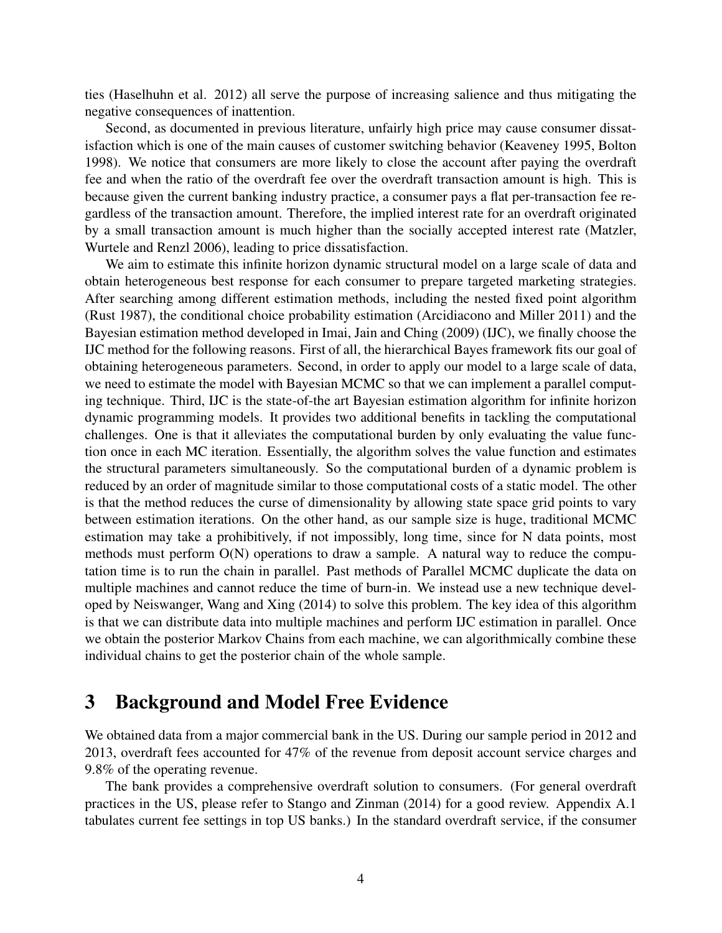ties (Haselhuhn et al. 2012) all serve the purpose of increasing salience and thus mitigating the negative consequences of inattention.

Second, as documented in previous literature, unfairly high price may cause consumer dissatisfaction which is one of the main causes of customer switching behavior (Keaveney 1995, Bolton 1998). We notice that consumers are more likely to close the account after paying the overdraft fee and when the ratio of the overdraft fee over the overdraft transaction amount is high. This is because given the current banking industry practice, a consumer pays a flat per-transaction fee regardless of the transaction amount. Therefore, the implied interest rate for an overdraft originated by a small transaction amount is much higher than the socially accepted interest rate (Matzler, Wurtele and Renzl 2006), leading to price dissatisfaction.

We aim to estimate this infinite horizon dynamic structural model on a large scale of data and obtain heterogeneous best response for each consumer to prepare targeted marketing strategies. After searching among different estimation methods, including the nested fixed point algorithm (Rust 1987), the conditional choice probability estimation (Arcidiacono and Miller 2011) and the Bayesian estimation method developed in Imai, Jain and Ching (2009) (IJC), we finally choose the IJC method for the following reasons. First of all, the hierarchical Bayes framework fits our goal of obtaining heterogeneous parameters. Second, in order to apply our model to a large scale of data, we need to estimate the model with Bayesian MCMC so that we can implement a parallel computing technique. Third, IJC is the state-of-the art Bayesian estimation algorithm for infinite horizon dynamic programming models. It provides two additional benefits in tackling the computational challenges. One is that it alleviates the computational burden by only evaluating the value function once in each MC iteration. Essentially, the algorithm solves the value function and estimates the structural parameters simultaneously. So the computational burden of a dynamic problem is reduced by an order of magnitude similar to those computational costs of a static model. The other is that the method reduces the curse of dimensionality by allowing state space grid points to vary between estimation iterations. On the other hand, as our sample size is huge, traditional MCMC estimation may take a prohibitively, if not impossibly, long time, since for N data points, most methods must perform O(N) operations to draw a sample. A natural way to reduce the computation time is to run the chain in parallel. Past methods of Parallel MCMC duplicate the data on multiple machines and cannot reduce the time of burn-in. We instead use a new technique developed by Neiswanger, Wang and Xing (2014) to solve this problem. The key idea of this algorithm is that we can distribute data into multiple machines and perform IJC estimation in parallel. Once we obtain the posterior Markov Chains from each machine, we can algorithmically combine these individual chains to get the posterior chain of the whole sample.

## <span id="page-3-0"></span>3 Background and Model Free Evidence

We obtained data from a major commercial bank in the US. During our sample period in 2012 and 2013, overdraft fees accounted for 47% of the revenue from deposit account service charges and 9.8% of the operating revenue.

The bank provides a comprehensive overdraft solution to consumers. (For general overdraft practices in the US, please refer to Stango and Zinman (2014) for a good review. Appendix A.1 tabulates current fee settings in top US banks.) In the standard overdraft service, if the consumer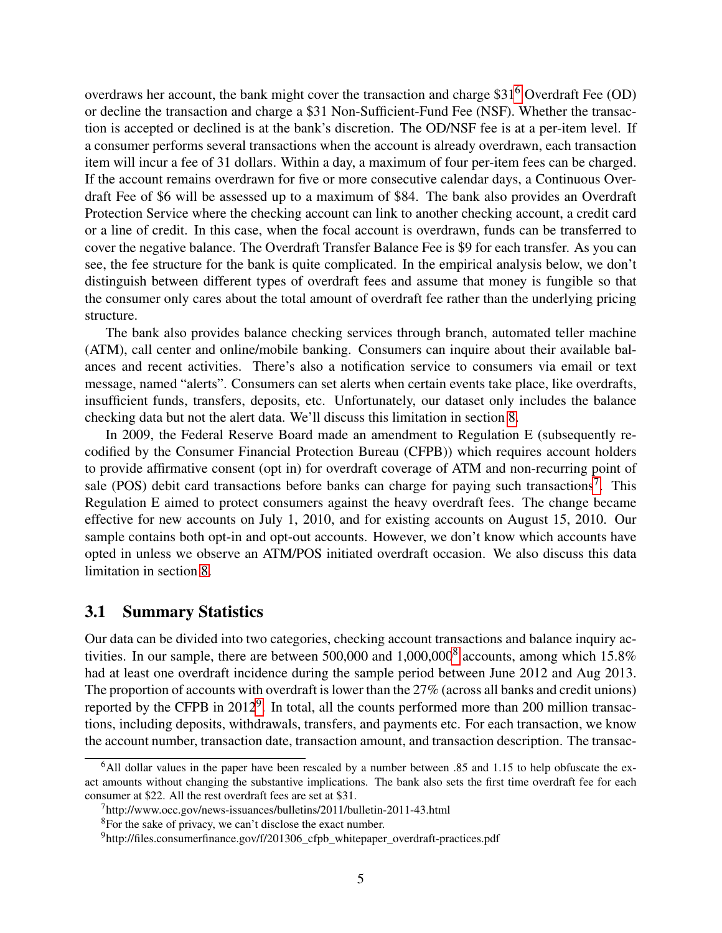overdraws her account, the bank might cover the transaction and charge \$31[6](#page-4-0) Overdraft Fee (OD) or decline the transaction and charge a \$31 Non-Sufficient-Fund Fee (NSF). Whether the transaction is accepted or declined is at the bank's discretion. The OD/NSF fee is at a per-item level. If a consumer performs several transactions when the account is already overdrawn, each transaction item will incur a fee of 31 dollars. Within a day, a maximum of four per-item fees can be charged. If the account remains overdrawn for five or more consecutive calendar days, a Continuous Overdraft Fee of \$6 will be assessed up to a maximum of \$84. The bank also provides an Overdraft Protection Service where the checking account can link to another checking account, a credit card or a line of credit. In this case, when the focal account is overdrawn, funds can be transferred to cover the negative balance. The Overdraft Transfer Balance Fee is \$9 for each transfer. As you can see, the fee structure for the bank is quite complicated. In the empirical analysis below, we don't distinguish between different types of overdraft fees and assume that money is fungible so that the consumer only cares about the total amount of overdraft fee rather than the underlying pricing structure.

The bank also provides balance checking services through branch, automated teller machine (ATM), call center and online/mobile banking. Consumers can inquire about their available balances and recent activities. There's also a notification service to consumers via email or text message, named "alerts". Consumers can set alerts when certain events take place, like overdrafts, insufficient funds, transfers, deposits, etc. Unfortunately, our dataset only includes the balance checking data but not the alert data. We'll discuss this limitation in section [8.](#page-32-0)

In 2009, the Federal Reserve Board made an amendment to Regulation E (subsequently recodified by the Consumer Financial Protection Bureau (CFPB)) which requires account holders to provide affirmative consent (opt in) for overdraft coverage of ATM and non-recurring point of sale (POS) debit card transactions before banks can charge for paying such transactions<sup>[7](#page-4-1)</sup>. This Regulation E aimed to protect consumers against the heavy overdraft fees. The change became effective for new accounts on July 1, 2010, and for existing accounts on August 15, 2010. Our sample contains both opt-in and opt-out accounts. However, we don't know which accounts have opted in unless we observe an ATM/POS initiated overdraft occasion. We also discuss this data limitation in section [8.](#page-32-0)

### <span id="page-4-4"></span>3.1 Summary Statistics

Our data can be divided into two categories, checking account transactions and balance inquiry activities. In our sample, there are between 500,000 and  $1,000,000^8$  $1,000,000^8$  accounts, among which 15.8% had at least one overdraft incidence during the sample period between June 2012 and Aug 2013. The proportion of accounts with overdraft is lower than the 27% (across all banks and credit unions) reported by the CFPB in 2012<sup>[9](#page-4-3)</sup>. In total, all the counts performed more than 200 million transactions, including deposits, withdrawals, transfers, and payments etc. For each transaction, we know the account number, transaction date, transaction amount, and transaction description. The transac-

<span id="page-4-0"></span> $6$ All dollar values in the paper have been rescaled by a number between .85 and 1.15 to help obfuscate the exact amounts without changing the substantive implications. The bank also sets the first time overdraft fee for each consumer at \$22. All the rest overdraft fees are set at \$31.

<span id="page-4-1"></span><sup>7</sup>http://www.occ.gov/news-issuances/bulletins/2011/bulletin-2011-43.html

<span id="page-4-2"></span><sup>&</sup>lt;sup>8</sup>For the sake of privacy, we can't disclose the exact number.

<span id="page-4-3"></span> $9$ http://files.consumerfinance.gov/f/201306 cfpb whitepaper overdraft-practices.pdf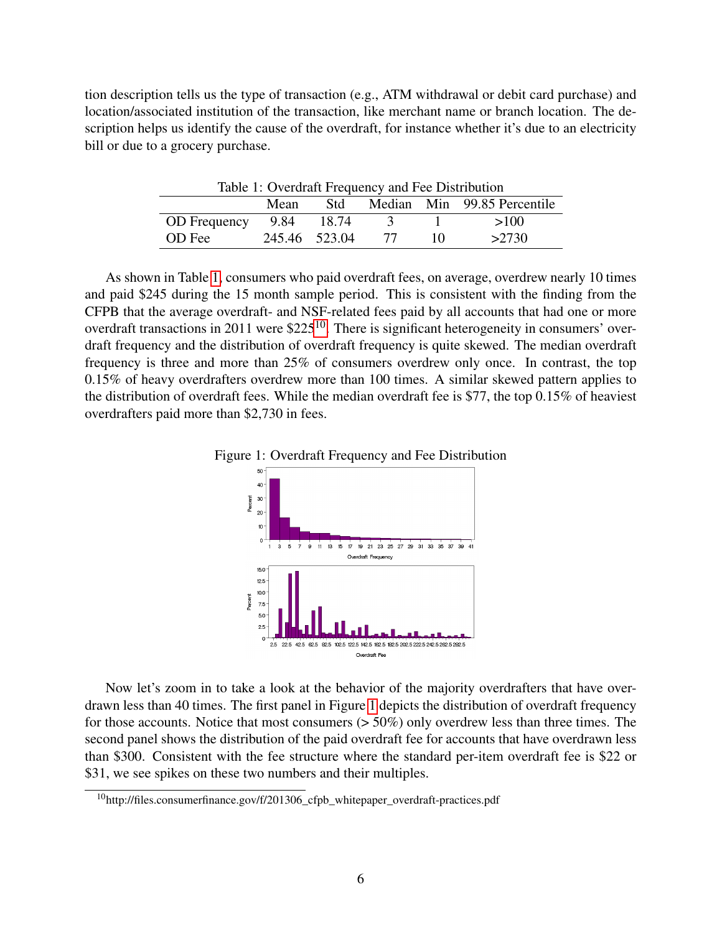tion description tells us the type of transaction (e.g., ATM withdrawal or debit card purchase) and location/associated institution of the transaction, like merchant name or branch location. The description helps us identify the cause of the overdraft, for instance whether it's due to an electricity bill or due to a grocery purchase.

<span id="page-5-0"></span>Table 1: Overdraft Frequency and Fee Distribution Mean Std Median Min 99.85 Percentile OD Frequency 9.84 18.74 3 1 >100

OD Fee 245.46 523.04 77 10 >2730

As shown in Table [1,](#page-5-0) consumers who paid overdraft fees, on average, overdrew nearly 10 times and paid \$245 during the 15 month sample period. This is consistent with the finding from the CFPB that the average overdraft- and NSF-related fees paid by all accounts that had one or more overdraft transactions in 2011 were  $$225^{10}$  $$225^{10}$  $$225^{10}$ . There is significant heterogeneity in consumers' overdraft frequency and the distribution of overdraft frequency is quite skewed. The median overdraft frequency is three and more than 25% of consumers overdrew only once. In contrast, the top 0.15% of heavy overdrafters overdrew more than 100 times. A similar skewed pattern applies to the distribution of overdraft fees. While the median overdraft fee is \$77, the top 0.15% of heaviest overdrafters paid more than \$2,730 in fees.



<span id="page-5-2"></span>

Now let's zoom in to take a look at the behavior of the majority overdrafters that have overdrawn less than 40 times. The first panel in Figure [1](#page-5-2) depicts the distribution of overdraft frequency for those accounts. Notice that most consumers (> 50%) only overdrew less than three times. The second panel shows the distribution of the paid overdraft fee for accounts that have overdrawn less than \$300. Consistent with the fee structure where the standard per-item overdraft fee is \$22 or \$31, we see spikes on these two numbers and their multiples.

<span id="page-5-1"></span><sup>10</sup>http://files.consumerfinance.gov/f/201306\_cfpb\_whitepaper\_overdraft-practices.pdf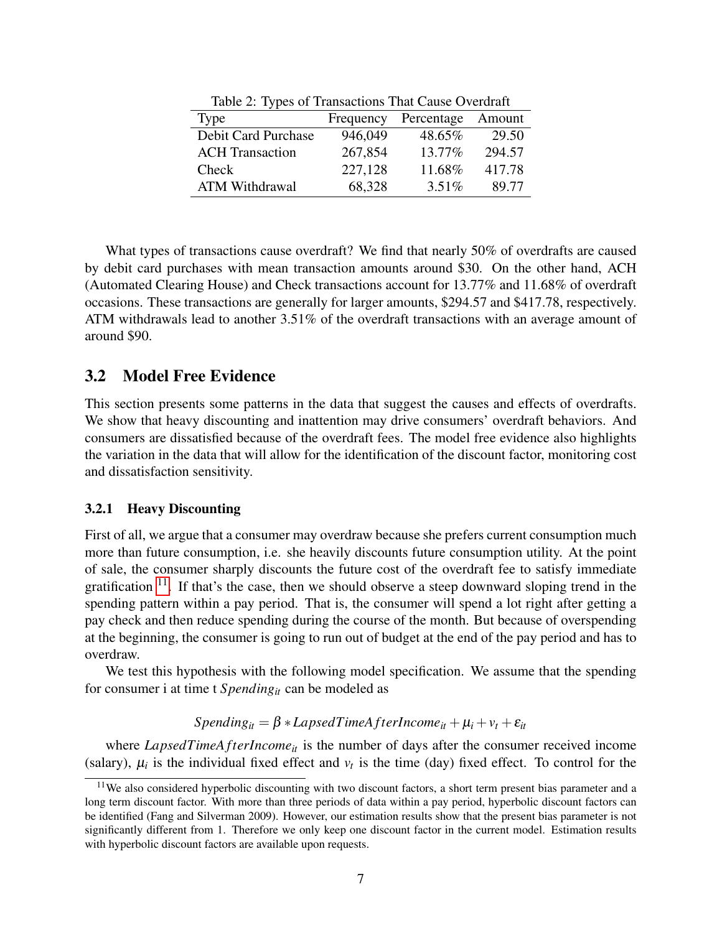|                        | $1000$ $\mu$ , $11000$ of Transactions That Cause Overenting |            |        |  |  |  |
|------------------------|--------------------------------------------------------------|------------|--------|--|--|--|
| Type                   | Frequency                                                    | Percentage | Amount |  |  |  |
| Debit Card Purchase    | 946,049                                                      | 48.65%     | 29.50  |  |  |  |
| <b>ACH</b> Transaction | 267,854                                                      | 13.77%     | 294.57 |  |  |  |
| Check                  | 227,128                                                      | 11.68%     | 417.78 |  |  |  |
| <b>ATM Withdrawal</b>  | 68,328                                                       | 3.51%      | 89.77  |  |  |  |

Table 2: Types of Transactions That Cause Overdraft

What types of transactions cause overdraft? We find that nearly 50% of overdrafts are caused by debit card purchases with mean transaction amounts around \$30. On the other hand, ACH (Automated Clearing House) and Check transactions account for 13.77% and 11.68% of overdraft occasions. These transactions are generally for larger amounts, \$294.57 and \$417.78, respectively. ATM withdrawals lead to another 3.51% of the overdraft transactions with an average amount of around \$90.

## 3.2 Model Free Evidence

This section presents some patterns in the data that suggest the causes and effects of overdrafts. We show that heavy discounting and inattention may drive consumers' overdraft behaviors. And consumers are dissatisfied because of the overdraft fees. The model free evidence also highlights the variation in the data that will allow for the identification of the discount factor, monitoring cost and dissatisfaction sensitivity.

#### 3.2.1 Heavy Discounting

First of all, we argue that a consumer may overdraw because she prefers current consumption much more than future consumption, i.e. she heavily discounts future consumption utility. At the point of sale, the consumer sharply discounts the future cost of the overdraft fee to satisfy immediate gratification  $11$ . If that's the case, then we should observe a steep downward sloping trend in the spending pattern within a pay period. That is, the consumer will spend a lot right after getting a pay check and then reduce spending during the course of the month. But because of overspending at the beginning, the consumer is going to run out of budget at the end of the pay period and has to overdraw.

We test this hypothesis with the following model specification. We assume that the spending for consumer i at time t *Spendingit* can be modeled as

 $Spending_{it} = \beta * LapsedTimeAfterIncome_{it} + \mu_i + \nu_t + \varepsilon_{it}$ 

where *LapsedTimeAfterIncome*<sub>*it*</sub> is the number of days after the consumer received income (salary),  $\mu_i$  is the individual fixed effect and  $v_t$  is the time (day) fixed effect. To control for the

<span id="page-6-0"></span><sup>&</sup>lt;sup>11</sup>We also considered hyperbolic discounting with two discount factors, a short term present bias parameter and a long term discount factor. With more than three periods of data within a pay period, hyperbolic discount factors can be identified (Fang and Silverman 2009). However, our estimation results show that the present bias parameter is not significantly different from 1. Therefore we only keep one discount factor in the current model. Estimation results with hyperbolic discount factors are available upon requests.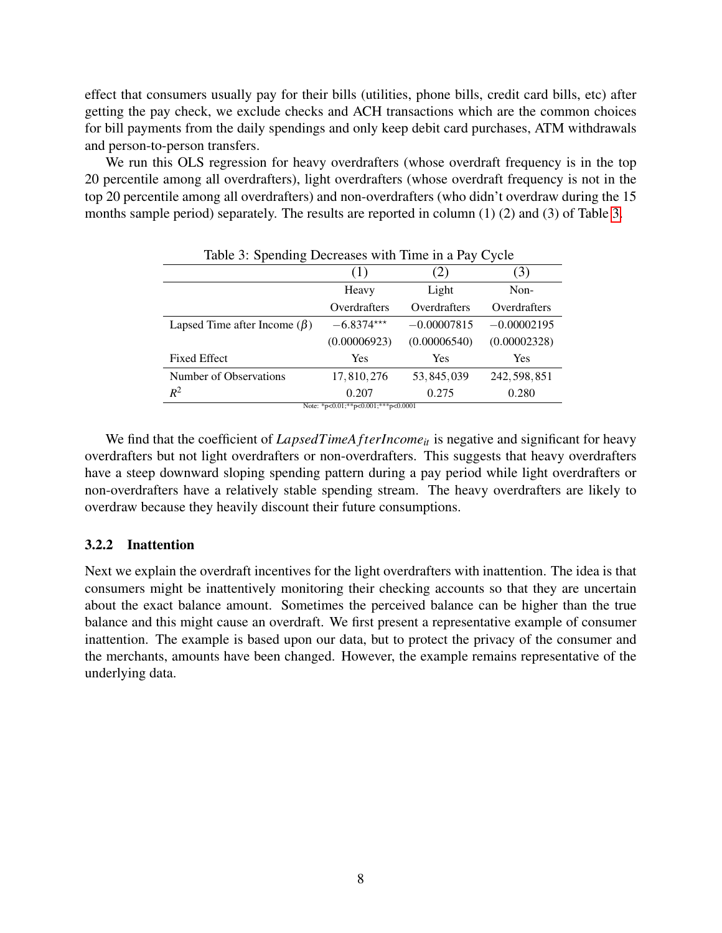effect that consumers usually pay for their bills (utilities, phone bills, credit card bills, etc) after getting the pay check, we exclude checks and ACH transactions which are the common choices for bill payments from the daily spendings and only keep debit card purchases, ATM withdrawals and person-to-person transfers.

We run this OLS regression for heavy overdrafters (whose overdraft frequency is in the top 20 percentile among all overdrafters), light overdrafters (whose overdraft frequency is not in the top 20 percentile among all overdrafters) and non-overdrafters (who didn't overdraw during the 15 months sample period) separately. The results are reported in column (1) (2) and (3) of Table [3.](#page-7-0)

<span id="page-7-0"></span>

| Table 3: Spending Decreases with Time in a Pay Cycle |              |               |               |  |
|------------------------------------------------------|--------------|---------------|---------------|--|
|                                                      | (1)          | 2)            | (3)           |  |
|                                                      | Heavy        | Light         | Non-          |  |
|                                                      | Overdrafters | Overdrafters  | Overdrafters  |  |
| Lapsed Time after Income $(\beta)$                   | $-6.8374***$ | $-0.00007815$ | $-0.00002195$ |  |
|                                                      | (0.00006923) | (0.00006540)  | (0.00002328)  |  |
| <b>Fixed Effect</b>                                  | <b>Yes</b>   | Yes           | <b>Yes</b>    |  |
| Number of Observations                               | 17,810,276   | 53, 845, 039  | 242, 598, 851 |  |
| $R^2$                                                | 0.207        | 0.275         | 0.280         |  |
| Note: *p<0.01;**p<0.001;***p<0.0001                  |              |               |               |  |

We find that the coefficient of *LapsedTimeA fterIncome*<sub>*it*</sub> is negative and significant for heavy overdrafters but not light overdrafters or non-overdrafters. This suggests that heavy overdrafters have a steep downward sloping spending pattern during a pay period while light overdrafters or non-overdrafters have a relatively stable spending stream. The heavy overdrafters are likely to overdraw because they heavily discount their future consumptions.

### <span id="page-7-1"></span>3.2.2 Inattention

Next we explain the overdraft incentives for the light overdrafters with inattention. The idea is that consumers might be inattentively monitoring their checking accounts so that they are uncertain about the exact balance amount. Sometimes the perceived balance can be higher than the true balance and this might cause an overdraft. We first present a representative example of consumer inattention. The example is based upon our data, but to protect the privacy of the consumer and the merchants, amounts have been changed. However, the example remains representative of the underlying data.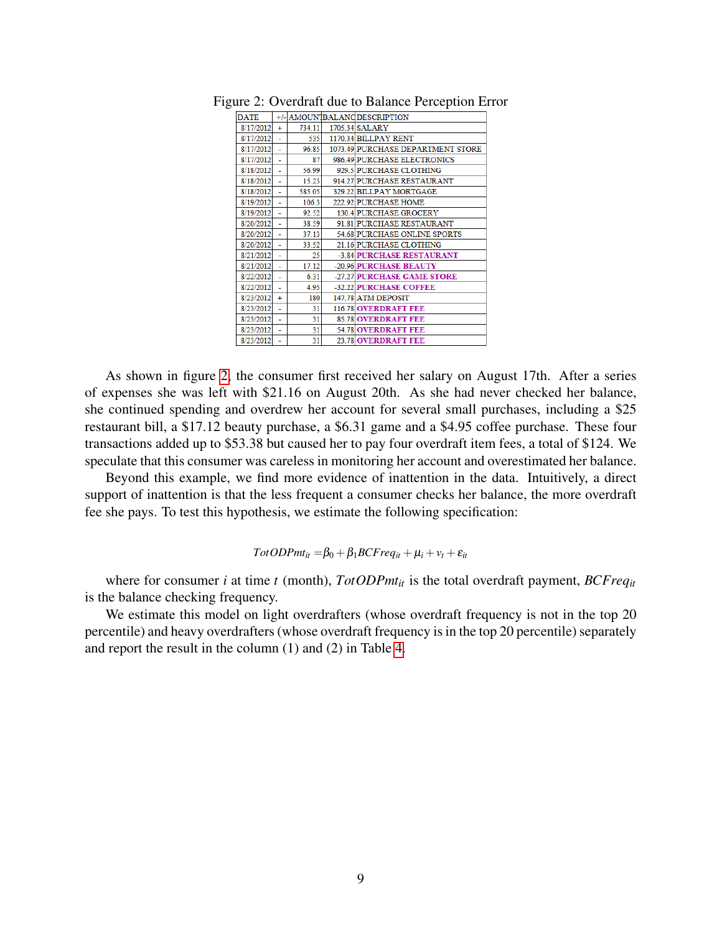<span id="page-8-0"></span>

| <b>DATE</b> |     |        | +/- AMOUNTBALANCDESCRIPTION       |
|-------------|-----|--------|-----------------------------------|
| 8/17/2012   | $+$ | 734.11 | 1705.34 SALARY                    |
| 8/17/2012   |     | 535    | 1170.34 BILLPAY RENT              |
| 8/17/2012   | ÷.  | 96.85  | 1073.49 PURCHASE DEPARTMENT STORE |
| 8/17/2012   | L,  | 87     | 986.49 PURCHASE ELECTRONICS       |
| 8/18/2012   |     | 56.99  | 929.5 PURCHASE CLOTHING           |
| 8/18/2012   | ٠   | 15.23  | 914.27 PURCHASE RESTAURANT        |
| 8/18/2012   |     | 585.05 | 329.22 BILLPAY MORTGAGE           |
| 8/19/2012   | ٠   | 106.3  | 222.92 PURCHASE HOME              |
| 8/19/2012   | ä,  | 92.52  | 130.4 PURCHASE GROCERY            |
| 8/20/2012   |     | 38.59  | 91.81 PURCHASE RESTAURANT         |
| 8/20/2012   | ٠   | 37.13  | 54.68 PURCHASE ONLINE SPORTS      |
| 8/20/2012   | ٠   | 33.52  | 21.16 PURCHASE CLOTHING           |
| 8/21/2012   | L.  | 25     | -3.84 PURCHASE RESTAURANT         |
| 8/21/2012   | L.  | 17.12  | -20.96 PURCHASE BEAUTY            |
| 8/22/2012   | ٠   | 6.31   | -27.27 PURCHASE GAME STORE        |
| 8/22/2012   | ÷   | 4.95   | -32.22 PURCHASE COFFEE            |
| 8/23/2012   | ÷   | 180    | 147.78 ATM DEPOSIT                |
| 8/23/2012   | L,  | 31     | <b>116.78 OVERDRAFT FEE</b>       |
| 8/23/2012   | ٠   | 31     | <b>85.78 OVERDRAFT FEE</b>        |
| 8/23/2012   | ٠   | 31     | <b>54.78 OVERDRAFT FEE</b>        |
| 8/23/2012   | ۰   | 31     | 23.78 OVERDRAFT FEE               |
|             |     |        |                                   |

Figure 2: Overdraft due to Balance Perception Error

As shown in figure [2,](#page-8-0) the consumer first received her salary on August 17th. After a series of expenses she was left with \$21.16 on August 20th. As she had never checked her balance, she continued spending and overdrew her account for several small purchases, including a \$25 restaurant bill, a \$17.12 beauty purchase, a \$6.31 game and a \$4.95 coffee purchase. These four transactions added up to \$53.38 but caused her to pay four overdraft item fees, a total of \$124. We speculate that this consumer was careless in monitoring her account and overestimated her balance.

Beyond this example, we find more evidence of inattention in the data. Intuitively, a direct support of inattention is that the less frequent a consumer checks her balance, the more overdraft fee she pays. To test this hypothesis, we estimate the following specification:

#### $TotODPmt_{it} = \beta_0 + \beta_1 BCFreq_{it} + \mu_i + v_t + \varepsilon_{it}$

where for consumer *i* at time *t* (month), *TotODPmtit* is the total overdraft payment, *BCFreqit* is the balance checking frequency.

We estimate this model on light overdrafters (whose overdraft frequency is not in the top 20 percentile) and heavy overdrafters (whose overdraft frequency is in the top 20 percentile) separately and report the result in the column (1) and (2) in Table [4.](#page-9-0)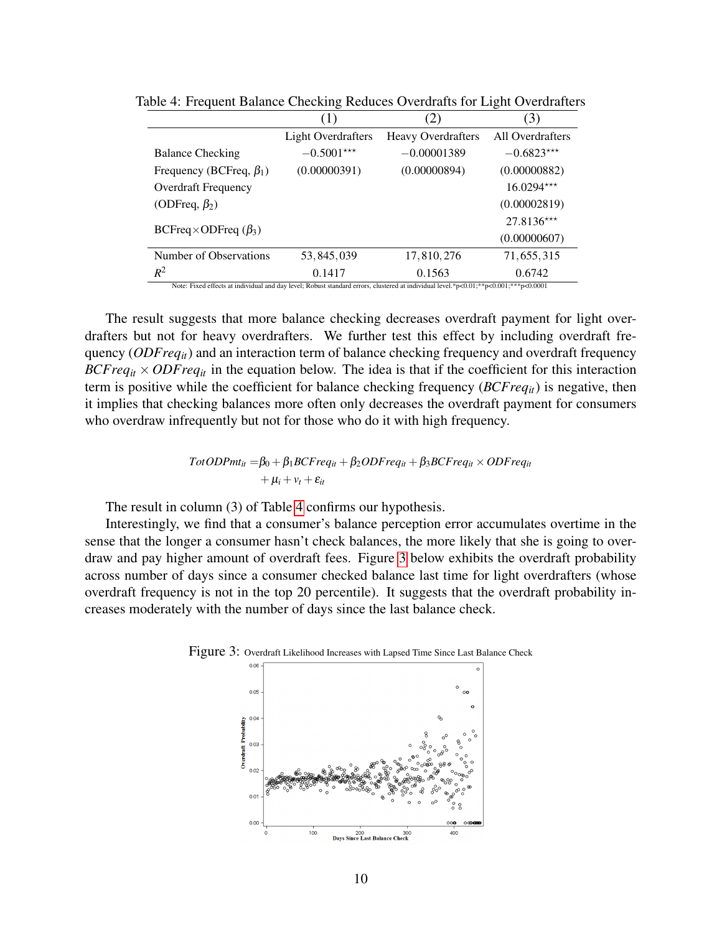<span id="page-9-0"></span>

| <b>Light Overdrafters</b><br>$-0.5001***$<br>(0.00000391) | <b>Heavy Overdrafters</b><br>$-0.00001389$<br>(0.00000894) | All Overdrafters<br>$-0.6823***$                                                                                                     |
|-----------------------------------------------------------|------------------------------------------------------------|--------------------------------------------------------------------------------------------------------------------------------------|
|                                                           |                                                            |                                                                                                                                      |
|                                                           |                                                            |                                                                                                                                      |
|                                                           |                                                            | (0.00000882)                                                                                                                         |
|                                                           |                                                            | $16.0294***$                                                                                                                         |
|                                                           |                                                            | (0.00002819)                                                                                                                         |
|                                                           |                                                            | $27.8136***$                                                                                                                         |
|                                                           |                                                            | (0.00000607)                                                                                                                         |
| 53, 845, 039                                              | 17,810,276                                                 | 71,655,315                                                                                                                           |
| 0.1417                                                    | 0.1563                                                     | 0.6742                                                                                                                               |
|                                                           |                                                            | Note: Fixed effects at individual and day level; Robust standard errors, clustered at individual level.*p<0.01;**p<0.001;***p<0.0001 |

Table 4: Frequent Balance Checking Reduces Overdrafts for Light Overdrafters

The result suggests that more balance checking decreases overdraft payment for light overdrafters but not for heavy overdrafters. We further test this effect by including overdraft frequency (*ODFreqit*) and an interaction term of balance checking frequency and overdraft frequency *BCFreq<sub>it</sub>*  $\times$  *ODFreq<sub>it</sub>* in the equation below. The idea is that if the coefficient for this interaction term is positive while the coefficient for balance checking frequency (*BCFreqit*) is negative, then it implies that checking balances more often only decreases the overdraft payment for consumers who overdraw infrequently but not for those who do it with high frequency.

$$
TotODPmt_{it} = \beta_0 + \beta_1 BCFreq_{it} + \beta_2 ODFreq_{it} + \beta_3 BCFreq_{it} \times ODFreq_{it}
$$
  
+  $\mu_i + v_t + \varepsilon_{it}$ 

The result in column (3) of Table [4](#page-9-0) confirms our hypothesis.

Interestingly, we find that a consumer's balance perception error accumulates overtime in the sense that the longer a consumer hasn't check balances, the more likely that she is going to overdraw and pay higher amount of overdraft fees. Figure [3](#page-9-1) below exhibits the overdraft probability across number of days since a consumer checked balance last time for light overdrafters (whose overdraft frequency is not in the top 20 percentile). It suggests that the overdraft probability increases moderately with the number of days since the last balance check.

<span id="page-9-1"></span>

Figure 3: Overdraft Likelihood Increases with Lapsed Time Since Last Balance Check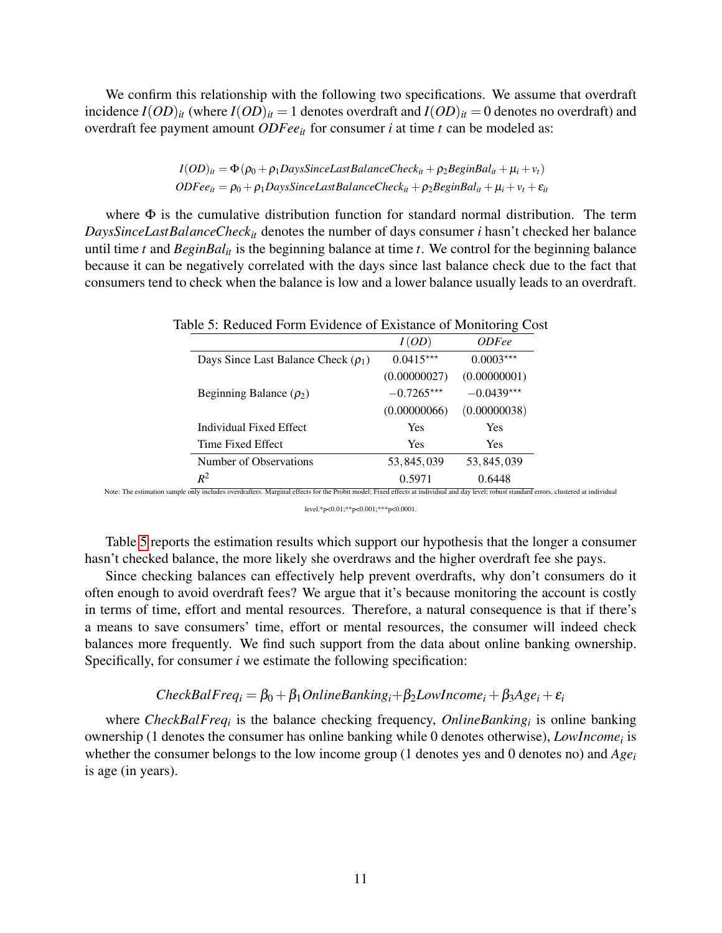We confirm this relationship with the following two specifications. We assume that overdraft incidence  $I(OD)_{it}$  (where  $I(OD)_{it} = 1$  denotes overdraft and  $I(OD)_{it} = 0$  denotes no overdraft) and overdraft fee payment amount *ODFeeit* for consumer *i* at time *t* can be modeled as:

$$
I(OD)_{it} = \Phi(\rho_0 + \rho_1 \text{Days} \text{SinceLastBalanceCheck}_{it} + \rho_2 \text{BeginBal}_{it} + \mu_i + \nu_t)
$$
  
ODFee<sub>it</sub> =  $\rho_0 + \rho_1 \text{Days} \text{SinceLastBalanceCheck}_{it} + \rho_2 \text{BeginBal}_{it} + \mu_i + \nu_t + \varepsilon_{it}$ 

where  $\Phi$  is the cumulative distribution function for standard normal distribution. The term *DaysSinceLastBalanceCheckit* denotes the number of days consumer *i* hasn't checked her balance until time *t* and *BeginBalit* is the beginning balance at time *t*. We control for the beginning balance because it can be negatively correlated with the days since last balance check due to the fact that consumers tend to check when the balance is low and a lower balance usually leads to an overdraft.

<span id="page-10-0"></span>

| I(OD)        | <i>ODFee</i>                                                   |
|--------------|----------------------------------------------------------------|
| $0.0415***$  | $0.0003***$                                                    |
| (0.00000027) | (0.00000001)                                                   |
| $-0.7265***$ | $-0.0439***$                                                   |
| (0.00000066) | (0.00000038)                                                   |
| Yes          | <b>Yes</b>                                                     |
| Yes          | <b>Yes</b>                                                     |
| 53, 845, 039 | 53, 845, 039                                                   |
| 0.5971       | 0.6448                                                         |
|              | Table 5: Reduced Form Evidence of Existance of Monitoring Cost |

Note: The estimation sample only includes overdrafters. Marginal effects for the Probit model; Fixed effects at individual and day level; robust standard errors, clustered at individual

level.\*p<0.01;\*\*p<0.001;\*\*\*p<0.0001.

Table [5](#page-10-0) reports the estimation results which support our hypothesis that the longer a consumer hasn't checked balance, the more likely she overdraws and the higher overdraft fee she pays.

Since checking balances can effectively help prevent overdrafts, why don't consumers do it often enough to avoid overdraft fees? We argue that it's because monitoring the account is costly in terms of time, effort and mental resources. Therefore, a natural consequence is that if there's a means to save consumers' time, effort or mental resources, the consumer will indeed check balances more frequently. We find such support from the data about online banking ownership. Specifically, for consumer *i* we estimate the following specification:

### $CheckBalFreq_i = \beta_0 + \beta_1 OnlineBanking_i + \beta_2 Low Income_i + \beta_3 Age_i + \varepsilon_i$

where *CheckBalFreq<sub>i</sub>* is the balance checking frequency, *OnlineBanking<sub>i</sub>* is online banking ownership (1 denotes the consumer has online banking while 0 denotes otherwise), *LowIncome<sup>i</sup>* is whether the consumer belongs to the low income group (1 denotes yes and 0 denotes no) and *Age<sup>i</sup>* is age (in years).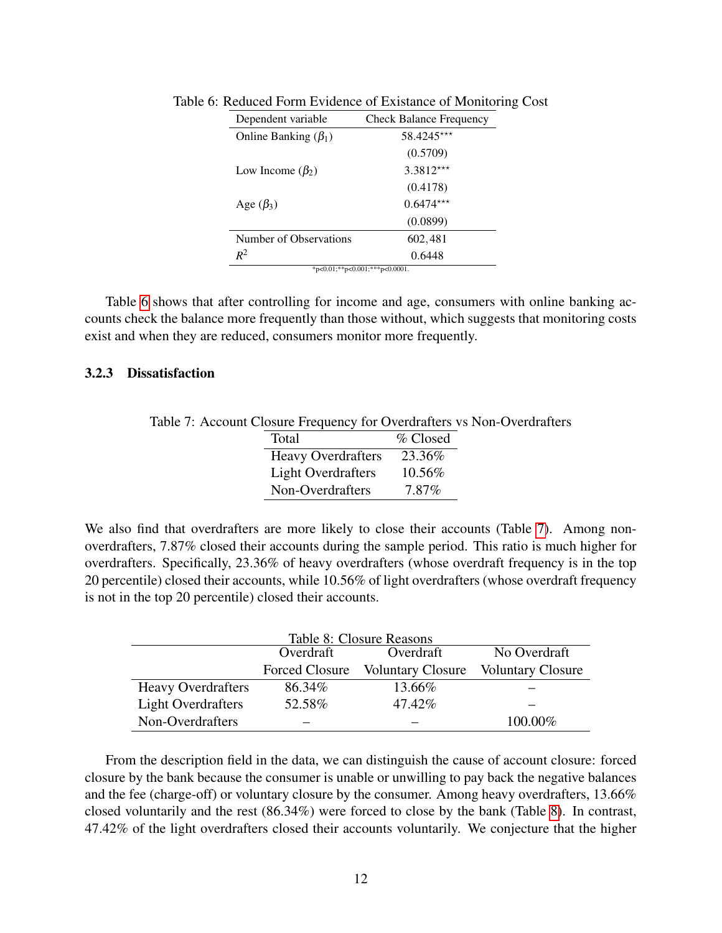<span id="page-11-0"></span>

| <b>Check Balance Frequency</b> |
|--------------------------------|
| 58.4245***                     |
| (0.5709)                       |
| $3.3812***$                    |
| (0.4178)                       |
| $0.6474***$                    |
| (0.0899)                       |
| 602,481                        |
| 0.6448                         |
|                                |

Table 6: Reduced Form Evidence of Existance of Monitoring Cost

\*p<0.01;\*\*p<0.001;\*\*\*p<0.0001.

Table [6](#page-11-0) shows that after controlling for income and age, consumers with online banking accounts check the balance more frequently than those without, which suggests that monitoring costs exist and when they are reduced, consumers monitor more frequently.

#### 3.2.3 Dissatisfaction

<span id="page-11-1"></span>Table 7: Account Closure Frequency for Overdrafters vs Non-Overdrafters

<span id="page-11-2"></span>

| Total                     | % Closed |
|---------------------------|----------|
| <b>Heavy Overdrafters</b> | 23.36%   |
| <b>Light Overdrafters</b> | 10.56%   |
| Non-Overdrafters          | 7.87%    |

We also find that overdrafters are more likely to close their accounts (Table [7\)](#page-11-1). Among nonoverdrafters, 7.87% closed their accounts during the sample period. This ratio is much higher for overdrafters. Specifically, 23.36% of heavy overdrafters (whose overdraft frequency is in the top 20 percentile) closed their accounts, while 10.56% of light overdrafters (whose overdraft frequency is not in the top 20 percentile) closed their accounts.

| Table 8: Closure Reasons  |                |                          |                          |  |
|---------------------------|----------------|--------------------------|--------------------------|--|
|                           | Overdraft      | Overdraft                | No Overdraft             |  |
|                           | Forced Closure | <b>Voluntary Closure</b> | <b>Voluntary Closure</b> |  |
| <b>Heavy Overdrafters</b> | 86.34%         | 13.66%                   |                          |  |
| <b>Light Overdrafters</b> | 52.58%         | 47.42%                   |                          |  |
| Non-Overdrafters          |                |                          | 100.00%                  |  |

From the description field in the data, we can distinguish the cause of account closure: forced closure by the bank because the consumer is unable or unwilling to pay back the negative balances and the fee (charge-off) or voluntary closure by the consumer. Among heavy overdrafters, 13.66% closed voluntarily and the rest (86.34%) were forced to close by the bank (Table [8\)](#page-11-2). In contrast, 47.42% of the light overdrafters closed their accounts voluntarily. We conjecture that the higher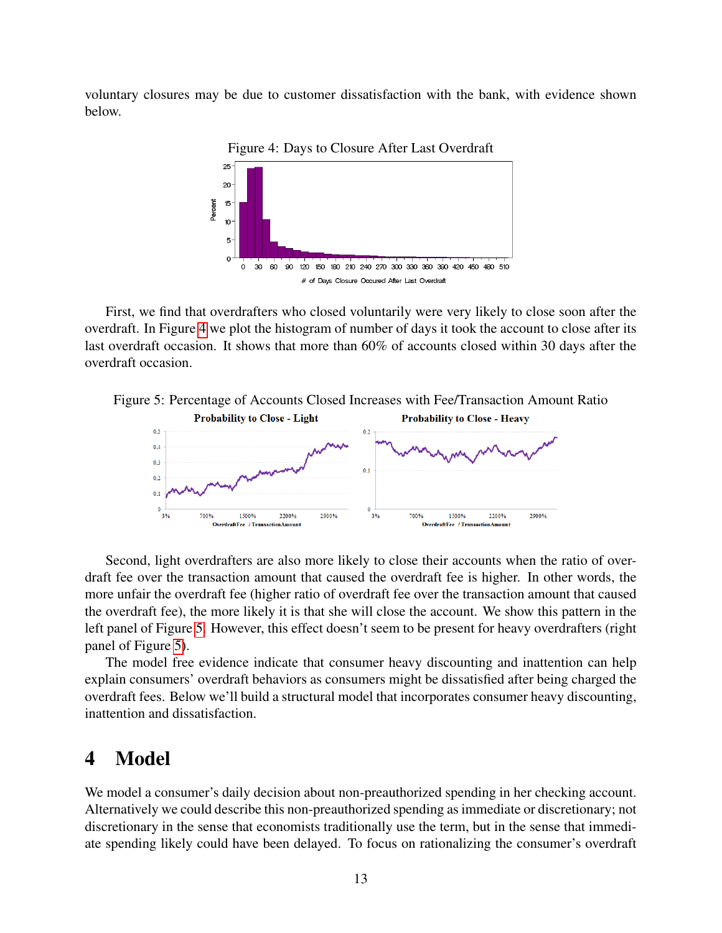voluntary closures may be due to customer dissatisfaction with the bank, with evidence shown below.



<span id="page-12-1"></span>Figure 4: Days to Closure After Last Overdraft

First, we find that overdrafters who closed voluntarily were very likely to close soon after the overdraft. In Figure [4](#page-12-1) we plot the histogram of number of days it took the account to close after its last overdraft occasion. It shows that more than 60% of accounts closed within 30 days after the overdraft occasion.



<span id="page-12-2"></span>

Second, light overdrafters are also more likely to close their accounts when the ratio of overdraft fee over the transaction amount that caused the overdraft fee is higher. In other words, the more unfair the overdraft fee (higher ratio of overdraft fee over the transaction amount that caused the overdraft fee), the more likely it is that she will close the account. We show this pattern in the left panel of Figure [5.](#page-12-2) However, this effect doesn't seem to be present for heavy overdrafters (right panel of Figure [5\)](#page-12-2).

The model free evidence indicate that consumer heavy discounting and inattention can help explain consumers' overdraft behaviors as consumers might be dissatisfied after being charged the overdraft fees. Below we'll build a structural model that incorporates consumer heavy discounting, inattention and dissatisfaction.

## <span id="page-12-0"></span>4 Model

We model a consumer's daily decision about non-preauthorized spending in her checking account. Alternatively we could describe this non-preauthorized spending as immediate or discretionary; not discretionary in the sense that economists traditionally use the term, but in the sense that immediate spending likely could have been delayed. To focus on rationalizing the consumer's overdraft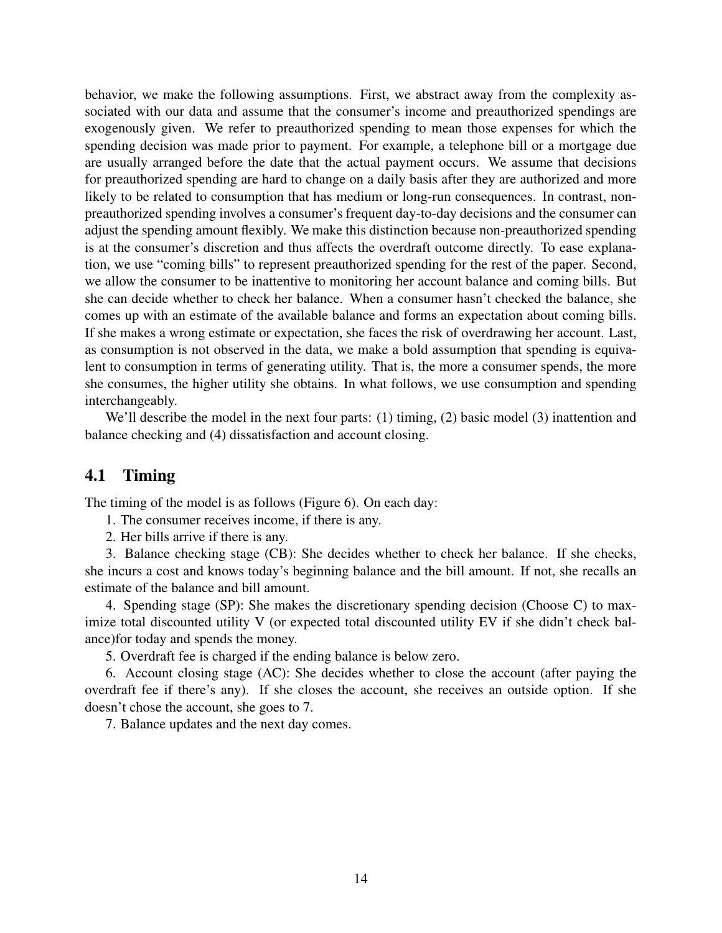behavior, we make the following assumptions. First, we abstract away from the complexity associated with our data and assume that the consumer's income and preauthorized spendings are exogenously given. We refer to preauthorized spending to mean those expenses for which the spending decision was made prior to payment. For example, a telephone bill or a mortgage due are usually arranged before the date that the actual payment occurs. We assume that decisions for preauthorized spending are hard to change on a daily basis after they are authorized and more likely to be related to consumption that has medium or long-run consequences. In contrast, nonpreauthorized spending involves a consumer's frequent day-to-day decisions and the consumer can adjust the spending amount flexibly. We make this distinction because non-preauthorized spending is at the consumer's discretion and thus affects the overdraft outcome directly. To ease explanation, we use "coming bills" to represent preauthorized spending for the rest of the paper. Second, we allow the consumer to be inattentive to monitoring her account balance and coming bills. But she can decide whether to check her balance. When a consumer hasn't checked the balance, she comes up with an estimate of the available balance and forms an expectation about coming bills. If she makes a wrong estimate or expectation, she faces the risk of overdrawing her account. Last, as consumption is not observed in the data, we make a bold assumption that spending is equivalent to consumption in terms of generating utility. That is, the more a consumer spends, the more she consumes, the higher utility she obtains. In what follows, we use consumption and spending interchangeably.

We'll describe the model in the next four parts: (1) timing, (2) basic model (3) inattention and balance checking and (4) dissatisfaction and account closing.

### 4.1 Timing

The timing of the model is as follows (Figure 6). On each day:

1. The consumer receives income, if there is any.

2. Her bills arrive if there is any.

3. Balance checking stage (CB): She decides whether to check her balance. If she checks, she incurs a cost and knows today's beginning balance and the bill amount. If not, she recalls an estimate of the balance and bill amount.

4. Spending stage (SP): She makes the discretionary spending decision (Choose C) to maximize total discounted utility V (or expected total discounted utility EV if she didn't check balance)for today and spends the money.

5. Overdraft fee is charged if the ending balance is below zero.

6. Account closing stage (AC): She decides whether to close the account (after paying the overdraft fee if there's any). If she closes the account, she receives an outside option. If she doesn't chose the account, she goes to 7.

7. Balance updates and the next day comes.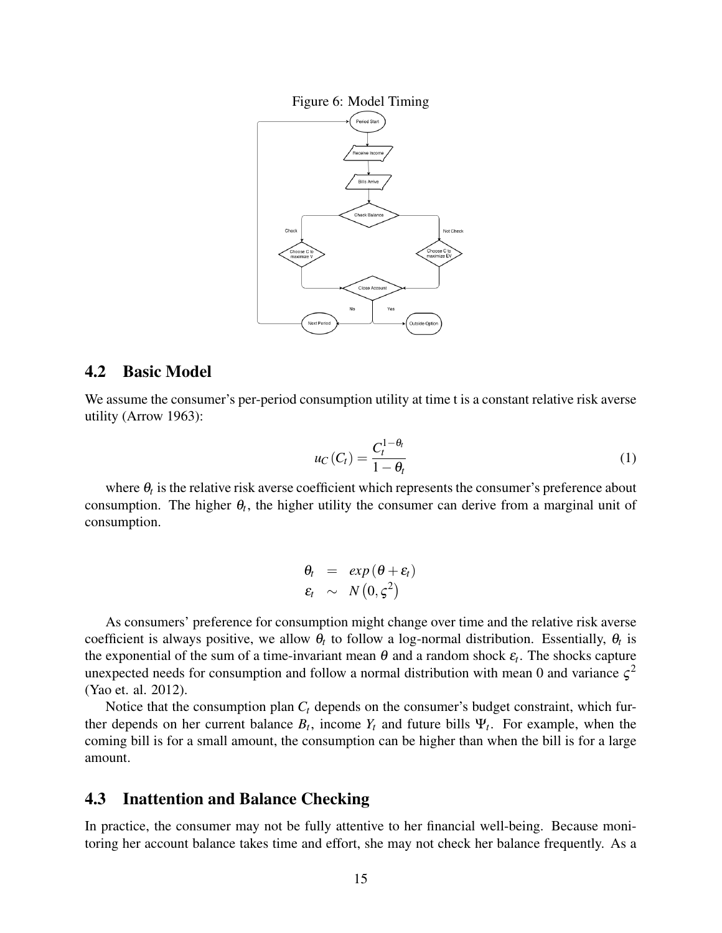

### 4.2 Basic Model

We assume the consumer's per-period consumption utility at time t is a constant relative risk averse utility (Arrow 1963):

$$
u_C(C_t) = \frac{C_t^{1-\theta_t}}{1-\theta_t}
$$
 (1)

where  $\theta_t$  is the relative risk averse coefficient which represents the consumer's preference about consumption. The higher  $\theta_t$ , the higher utility the consumer can derive from a marginal unit of consumption.

$$
\begin{array}{rcl}\n\theta_t & = & \exp\left(\theta + \varepsilon_t\right) \\
\varepsilon_t & \sim & N\left(0, \varsigma^2\right)\n\end{array}
$$

As consumers' preference for consumption might change over time and the relative risk averse coefficient is always positive, we allow  $\theta_t$  to follow a log-normal distribution. Essentially,  $\theta_t$  is the exponential of the sum of a time-invariant mean  $\theta$  and a random shock  $\varepsilon_t$ . The shocks capture unexpected needs for consumption and follow a normal distribution with mean 0 and variance  $\zeta^2$ (Yao et. al. 2012).

Notice that the consumption plan  $C_t$  depends on the consumer's budget constraint, which further depends on her current balance  $B_t$ , income  $Y_t$  and future bills  $\Psi_t$ . For example, when the coming bill is for a small amount, the consumption can be higher than when the bill is for a large amount.

### 4.3 Inattention and Balance Checking

In practice, the consumer may not be fully attentive to her financial well-being. Because monitoring her account balance takes time and effort, she may not check her balance frequently. As a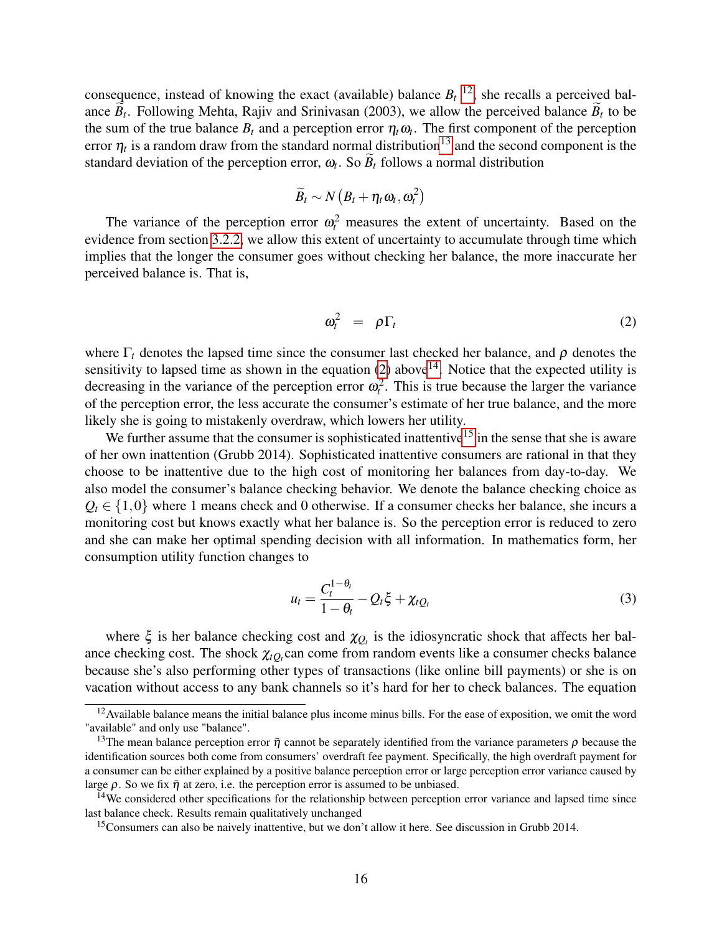consequence, instead of knowing the exact (available) balance  $B_t$ <sup>[12](#page-15-0)</sup>, she recalls a perceived balance  $B_t$ . Following Mehta, Rajiv and Srinivasan (2003), we allow the perceived balance  $B_t$  to be the sum of the true balance  $B_t$  and a perception error  $\eta_t \omega_t$ . The first component of the perception error  $\eta_t$  is a random draw from the standard normal distribution<sup>[13](#page-15-1)</sup> and the second component is the standard deviation of the perception error,  $\omega_t$ . So  $B_t$  follows a normal distribution

$$
\widetilde{B}_t \sim N\left(B_t + \eta_t \omega_t, \omega_t^2\right)
$$

The variance of the perception error  $\omega_t^2$  measures the extent of uncertainty. Based on the evidence from section [3.2.2,](#page-7-1) we allow this extent of uncertainty to accumulate through time which implies that the longer the consumer goes without checking her balance, the more inaccurate her perceived balance is. That is,

<span id="page-15-2"></span>
$$
\omega_t^2 = \rho \Gamma_t \tag{2}
$$

where  $\Gamma_t$  denotes the lapsed time since the consumer last checked her balance, and  $\rho$  denotes the sensitivity to lapsed time as shown in the equation  $(2)$  above<sup>[14](#page-15-3)</sup>. Notice that the expected utility is decreasing in the variance of the perception error  $\omega_t^2$ . This is true because the larger the variance of the perception error, the less accurate the consumer's estimate of her true balance, and the more likely she is going to mistakenly overdraw, which lowers her utility.

We further assume that the consumer is sophisticated inattentive<sup>[15](#page-15-4)</sup> in the sense that she is aware of her own inattention (Grubb 2014). Sophisticated inattentive consumers are rational in that they choose to be inattentive due to the high cost of monitoring her balances from day-to-day. We also model the consumer's balance checking behavior. We denote the balance checking choice as  $Q_t \in \{1,0\}$  where 1 means check and 0 otherwise. If a consumer checks her balance, she incurs a monitoring cost but knows exactly what her balance is. So the perception error is reduced to zero and she can make her optimal spending decision with all information. In mathematics form, her consumption utility function changes to

<span id="page-15-5"></span>
$$
u_t = \frac{C_t^{1-\theta_t}}{1-\theta_t} - Q_t \xi + \chi_t Q_t \tag{3}
$$

where  $\xi$  is her balance checking cost and  $\chi_{Q_t}$  is the idiosyncratic shock that affects her balance checking cost. The shock  $\chi_{tQ_t}$  can come from random events like a consumer checks balance because she's also performing other types of transactions (like online bill payments) or she is on vacation without access to any bank channels so it's hard for her to check balances. The equation

<span id="page-15-0"></span> $12$  Available balance means the initial balance plus income minus bills. For the ease of exposition, we omit the word "available" and only use "balance".

<span id="page-15-1"></span><sup>&</sup>lt;sup>13</sup>The mean balance perception error  $\bar{\eta}$  cannot be separately identified from the variance parameters  $\rho$  because the identification sources both come from consumers' overdraft fee payment. Specifically, the high overdraft payment for a consumer can be either explained by a positive balance perception error or large perception error variance caused by large  $\rho$ . So we fix  $\bar{\eta}$  at zero, i.e. the perception error is assumed to be unbiased.

<span id="page-15-3"></span><sup>&</sup>lt;sup>14</sup>We considered other specifications for the relationship between perception error variance and lapsed time since last balance check. Results remain qualitatively unchanged

<span id="page-15-4"></span><sup>&</sup>lt;sup>15</sup>Consumers can also be naively inattentive, but we don't allow it here. See discussion in Grubb 2014.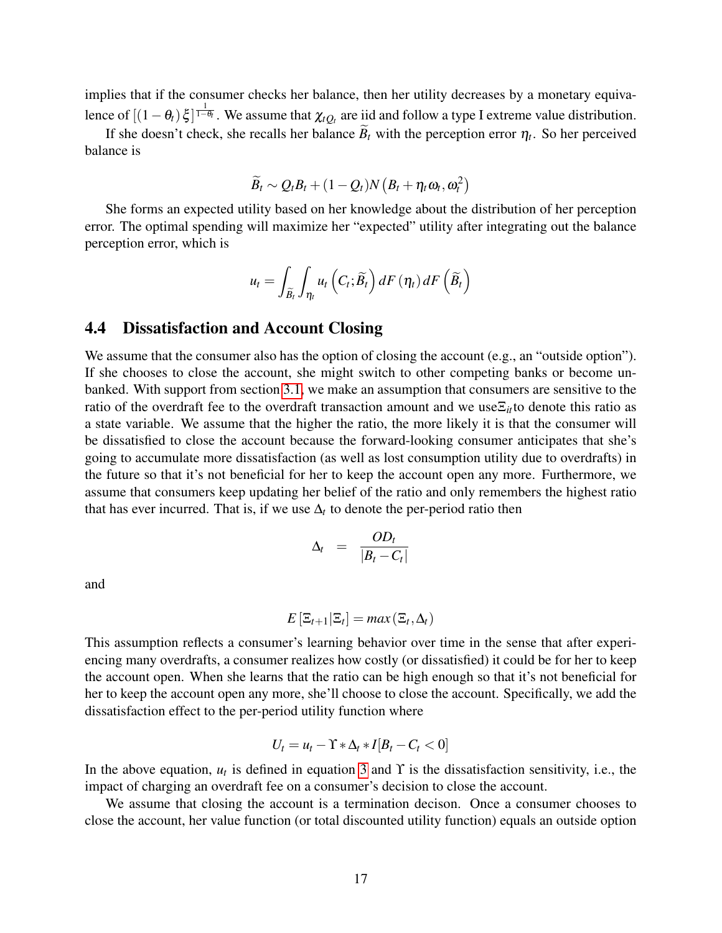implies that if the consumer checks her balance, then her utility decreases by a monetary equivalence of  $[(1 - \theta_t)\xi]^{\frac{1}{1-\theta_t}}$ . We assume that  $\chi_{tQ_t}$  are iid and follow a type I extreme value distribution.

If she doesn't check, she recalls her balance  $B_t$  with the perception error  $\eta_t$ . So her perceived balance is

$$
\widetilde{B}_t \sim Q_t B_t + (1 - Q_t) N \left( B_t + \eta_t \omega_t, \omega_t^2 \right)
$$

She forms an expected utility based on her knowledge about the distribution of her perception error. The optimal spending will maximize her "expected" utility after integrating out the balance perception error, which is

$$
u_t = \int_{\widetilde{B}_t} \int_{\eta_t} u_t \left( C_t; \widetilde{B}_t \right) dF\left( \eta_t \right) dF\left( \widetilde{B}_t \right)
$$

### 4.4 Dissatisfaction and Account Closing

We assume that the consumer also has the option of closing the account (e.g., an "outside option"). If she chooses to close the account, she might switch to other competing banks or become unbanked. With support from section [3.1,](#page-4-4) we make an assumption that consumers are sensitive to the ratio of the overdraft fee to the overdraft transaction amount and we use $\Xi_{it}$  to denote this ratio as a state variable. We assume that the higher the ratio, the more likely it is that the consumer will be dissatisfied to close the account because the forward-looking consumer anticipates that she's going to accumulate more dissatisfaction (as well as lost consumption utility due to overdrafts) in the future so that it's not beneficial for her to keep the account open any more. Furthermore, we assume that consumers keep updating her belief of the ratio and only remembers the highest ratio that has ever incurred. That is, if we use  $\Delta_t$  to denote the per-period ratio then

$$
\Delta_t = \frac{OD_t}{|B_t - C_t|}
$$

and

$$
E\left[\Xi_{t+1}|\Xi_t\right] = max\left(\Xi_t,\Delta_t\right)
$$

This assumption reflects a consumer's learning behavior over time in the sense that after experiencing many overdrafts, a consumer realizes how costly (or dissatisfied) it could be for her to keep the account open. When she learns that the ratio can be high enough so that it's not beneficial for her to keep the account open any more, she'll choose to close the account. Specifically, we add the dissatisfaction effect to the per-period utility function where

$$
U_t = u_t - \Upsilon * \Delta_t * I[B_t - C_t < 0]
$$

In the above equation,  $u_t$  is defined in equation [3](#page-15-5) and  $\Upsilon$  is the dissatisfaction sensitivity, i.e., the impact of charging an overdraft fee on a consumer's decision to close the account.

We assume that closing the account is a termination decison. Once a consumer chooses to close the account, her value function (or total discounted utility function) equals an outside option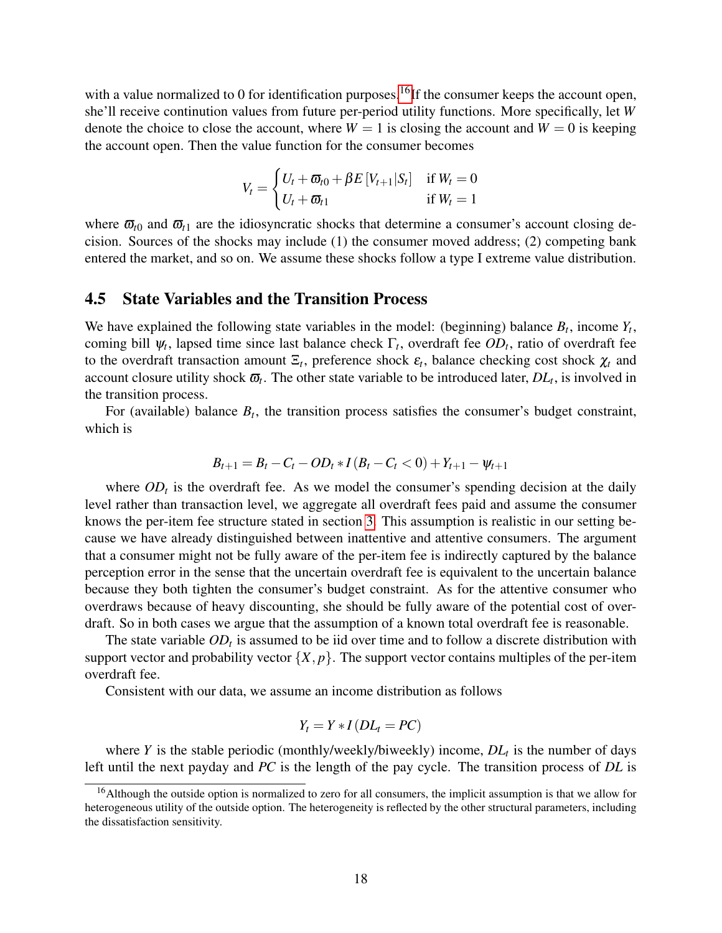with a value normalized to 0 for identification purposes.<sup>[16](#page-17-0)</sup>If the consumer keeps the account open, she'll receive continution values from future per-period utility functions. More specifically, let *W* denote the choice to close the account, where  $W = 1$  is closing the account and  $W = 0$  is keeping the account open. Then the value function for the consumer becomes

$$
V_t = \begin{cases} U_t + \varpi_{t0} + \beta E \left[ V_{t+1} | S_t \right] & \text{if } W_t = 0 \\ U_t + \varpi_{t1} & \text{if } W_t = 1 \end{cases}
$$

where  $\bar{\omega}_{t0}$  and  $\bar{\omega}_{t1}$  are the idiosyncratic shocks that determine a consumer's account closing decision. Sources of the shocks may include (1) the consumer moved address; (2) competing bank entered the market, and so on. We assume these shocks follow a type I extreme value distribution.

### 4.5 State Variables and the Transition Process

We have explained the following state variables in the model: (beginning) balance  $B_t$ , income  $Y_t$ , coming bill  $\psi_t$ , lapsed time since last balance check  $\Gamma_t$ , overdraft fee  $OD_t$ , ratio of overdraft fee to the overdraft transaction amount  $\Xi_t$ , preference shock  $\varepsilon_t$ , balance checking cost shock  $\chi_t$  and account closure utility shock  $\overline{\omega}_t$ . The other state variable to be introduced later,  $DL_t$ , is involved in the transition process.

For (available) balance  $B_t$ , the transition process satisfies the consumer's budget constraint, which is

$$
B_{t+1} = B_t - C_t - OD_t * I (B_t - C_t < 0) + Y_{t+1} - \psi_{t+1}
$$

where  $OD<sub>t</sub>$  is the overdraft fee. As we model the consumer's spending decision at the daily level rather than transaction level, we aggregate all overdraft fees paid and assume the consumer knows the per-item fee structure stated in section [3.](#page-3-0) This assumption is realistic in our setting because we have already distinguished between inattentive and attentive consumers. The argument that a consumer might not be fully aware of the per-item fee is indirectly captured by the balance perception error in the sense that the uncertain overdraft fee is equivalent to the uncertain balance because they both tighten the consumer's budget constraint. As for the attentive consumer who overdraws because of heavy discounting, she should be fully aware of the potential cost of overdraft. So in both cases we argue that the assumption of a known total overdraft fee is reasonable.

The state variable  $OD<sub>t</sub>$  is assumed to be iid over time and to follow a discrete distribution with support vector and probability vector  $\{X, p\}$ . The support vector contains multiples of the per-item overdraft fee.

Consistent with our data, we assume an income distribution as follows

$$
Y_t = Y \cdot I(DL_t = PC)
$$

where *Y* is the stable periodic (monthly/weekly/biweekly) income, *DL<sup>t</sup>* is the number of days left until the next payday and *PC* is the length of the pay cycle. The transition process of *DL* is

<span id="page-17-0"></span><sup>&</sup>lt;sup>16</sup>Although the outside option is normalized to zero for all consumers, the implicit assumption is that we allow for heterogeneous utility of the outside option. The heterogeneity is reflected by the other structural parameters, including the dissatisfaction sensitivity.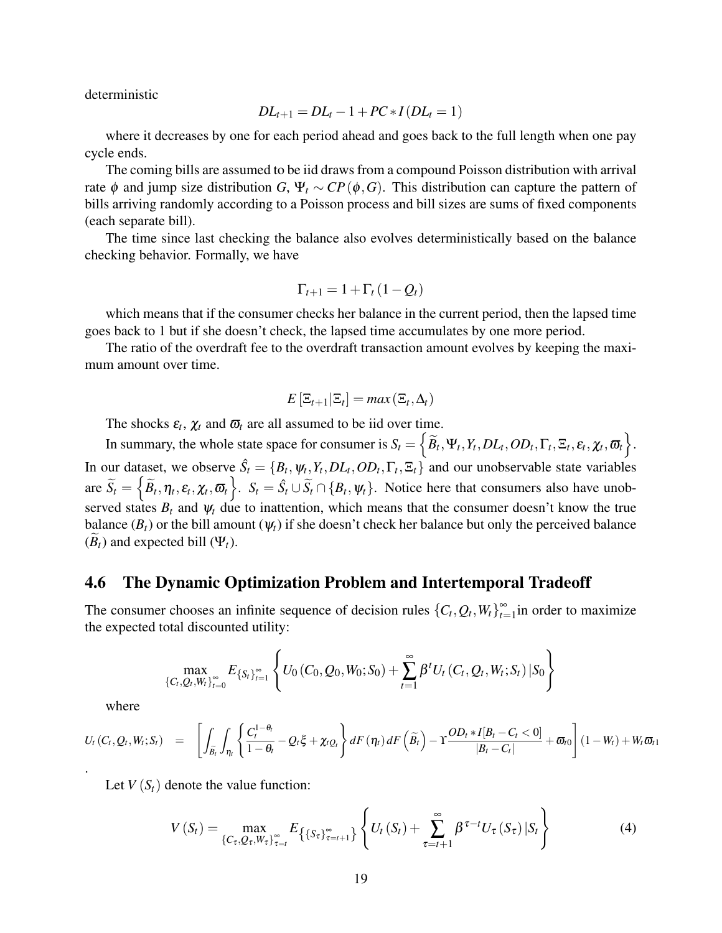deterministic

$$
DL_{t+1} = DL_{t} - 1 + PC * I(DL_{t} = 1)
$$

where it decreases by one for each period ahead and goes back to the full length when one pay cycle ends.

The coming bills are assumed to be iid draws from a compound Poisson distribution with arrival rate  $\phi$  and jump size distribution *G*,  $\Psi_t \sim CP(\phi, G)$ . This distribution can capture the pattern of bills arriving randomly according to a Poisson process and bill sizes are sums of fixed components (each separate bill).

The time since last checking the balance also evolves deterministically based on the balance checking behavior. Formally, we have

$$
\Gamma_{t+1} = 1 + \Gamma_t (1 - Q_t)
$$

which means that if the consumer checks her balance in the current period, then the lapsed time goes back to 1 but if she doesn't check, the lapsed time accumulates by one more period.

The ratio of the overdraft fee to the overdraft transaction amount evolves by keeping the maximum amount over time.

$$
E\left[\Xi_{t+1}|\Xi_t\right] = max\left(\Xi_t,\Delta_t\right)
$$

The shocks  $\varepsilon_t$ ,  $\chi_t$  and  $\overline{\omega}_t$  are all assumed to be iid over time.

In summary, the whole state space for consumer is  $S_t = \left\{\widetilde{B}_t, \Psi_t, Y_t, DL_t, OD_t, \Gamma_t, \Xi_t, \varepsilon_t, \chi_t, \overline{\omega}_t\right\}$ . In our dataset, we observe  $\hat{S}_t = \{B_t, \psi_t, Y_t, DL_t, OD_t, \Gamma_t, \Xi_t\}$  and our unobservable state variables  $\widetilde{S}_t = \left\{ \widetilde{B}_t, \eta_t, \varepsilon_t, \chi_t, \overline{\omega}_t \right\}$ .  $S_t = \hat{S}_t \cup \widetilde{S}_t \cap \{B_t, \psi_t\}$ . Notice here that consumers also have unobserved states  $B_t$  and  $\psi_t$  due to inattention, which means that the consumer doesn't know the true balance  $(B_t)$  or the bill amount  $(\psi_t)$  if she doesn't check her balance but only the perceived balance  $(B_t)$  and expected bill  $(\Psi_t)$ .

#### 4.6 The Dynamic Optimization Problem and Intertemporal Tradeoff

The consumer chooses an infinite sequence of decision rules  ${C_t, Q_t, W_t}_{t=0}^{\infty}$  $\sum_{t=1}^{\infty}$  in order to maximize the expected total discounted utility:

$$
\max_{\{C_t, Q_t, W_t\}_{t=0}^{\infty}} E_{\{S_t\}_{t=1}^{\infty}} \left\{ U_0(C_0, Q_0, W_0; S_0) + \sum_{t=1}^{\infty} \beta^t U_t(C_t, Q_t, W_t; S_t) | S_0 \right\}
$$

where

$$
U_{t}\left(C_{t}, Q_{t}, W_{t}; S_{t}\right) = \left[\int_{\widetilde{B}_{t}}\int_{\eta_{t}}\left\{\frac{C_{t}^{1-\theta_{t}}}{1-\theta_{t}}-Q_{t}\xi+\chi_{tQ_{t}}\right\}dF\left(\eta_{t}\right)dF\left(\widetilde{B}_{t}\right)-\Upsilon\frac{OD_{t} * I[B_{t}-C_{t}<0]}{|B_{t}-C_{t}|}+\varpi_{t0}\right](1-W_{t})+W_{t}\varpi_{t1}.
$$

Let  $V(S_t)$  denote the value function:

$$
V(S_t) = \max_{\{C_{\tau}, Q_{\tau}, W_{\tau}\}_{\tau=t}^{\infty}} E_{\left\{\{S_{\tau}\}_{\tau=t+1}^{\infty}\right\}} \left\{ U_t(S_t) + \sum_{\tau=t+1}^{\infty} \beta^{\tau-t} U_{\tau}(S_{\tau}) | S_t \right\}
$$
(4)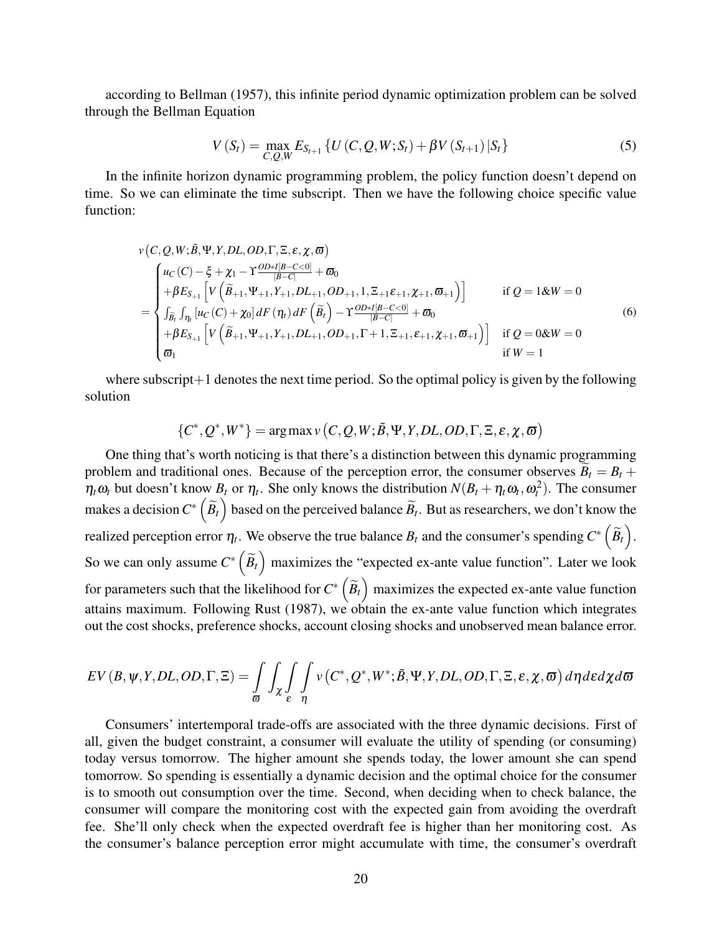according to Bellman (1957), this infinite period dynamic optimization problem can be solved through the Bellman Equation

<span id="page-19-0"></span>
$$
V(S_t) = \max_{C,Q,W} E_{S_{t+1}} \left\{ U(C,Q,W;S_t) + \beta V(S_{t+1}) | S_t \right\}
$$
 (5)

In the infinite horizon dynamic programming problem, the policy function doesn't depend on time. So we can eliminate the time subscript. Then we have the following choice specific value function:

$$
v(C, Q, W; \tilde{B}, \Psi, Y, DL, OD, \Gamma, \Xi, \varepsilon, \chi, \varpi)
$$
\n
$$
= \begin{cases}\nu(C) - \xi + \chi_1 - \Upsilon \frac{OD * I[B - C < 0]}{|B - C|} + \varpi_0 \\
+\beta E_{S_{+1}} \left[ V(\tilde{B}_{+1}, \Psi_{+1}, Y_{+1}, DL_{+1}, OD_{+1}, 1, \Xi_{+1} \varepsilon_{+1}, \chi_{+1}, \varpi_{+1}) \right] & \text{if } Q = 1 \& W = 0 \\
\int_{\tilde{B}_t} \int_{\eta_t} [u_C(C) + \chi_0] dF(\eta_t) dF(\tilde{B}_t) - \Upsilon \frac{OD * I[B - C < 0]}{|B - C|} + \varpi_0 \\
+\beta E_{S_{+1}} \left[ V(\tilde{B}_{+1}, \Psi_{+1}, Y_{+1}, DL_{+1}, OD_{+1}, \Gamma + 1, \Xi_{+1}, \varepsilon_{+1}, \chi_{+1}, \varpi_{+1}) \right] & \text{if } Q = 0 \& W = 0 \\
\varpi_1 & \text{if } W = 1\n\end{cases}
$$
\n(6)

where subscript $+1$  denotes the next time period. So the optimal policy is given by the following solution

$$
\{C^*,Q^*,W^*\} = \arg \max v(C,Q,W;\tilde{B},\Psi,Y,DL,OD,\Gamma,\Xi,\varepsilon,\chi,\varpi)
$$

One thing that's worth noticing is that there's a distinction between this dynamic programming problem and traditional ones. Because of the perception error, the consumer observes  $B_t = B_t +$  $\eta_t \omega_t$  but doesn't know  $B_t$  or  $\eta_t$ . She only knows the distribution  $N(B_t + \eta_t \omega_t, \omega_t^2)$ . The consumer makes a decision  $C^*\left(\widetilde{B}_t\right)$  based on the perceived balance  $\widetilde{B}_t$ . But as researchers, we don't know the realized perception error  $\eta_t$ . We observe the true balance  $B_t$  and the consumer's spending  $C^*\left(\widetilde{B}_t\right)$ . So we can only assume  $C^*$   $(\widetilde{B}_t)$  maximizes the "expected ex-ante value function". Later we look for parameters such that the likelihood for  $C^*\left(\widetilde{B}_t\right)$  maximizes the expected ex-ante value function attains maximum. Following Rust (1987), we obtain the ex-ante value function which integrates out the cost shocks, preference shocks, account closing shocks and unobserved mean balance error.

$$
EV(B, \psi, Y, DL, OD, \Gamma, \Xi) = \int_{\mathfrak{G}} \int_{\mathcal{X}} \int_{\mathcal{E}} \int_{\eta} v(C^*, Q^*, W^*; \tilde{B}, \Psi, Y, DL, OD, \Gamma, \Xi, \varepsilon, \chi, \varpi) d\eta d\varepsilon d\chi d\varpi
$$

Consumers' intertemporal trade-offs are associated with the three dynamic decisions. First of all, given the budget constraint, a consumer will evaluate the utility of spending (or consuming) today versus tomorrow. The higher amount she spends today, the lower amount she can spend tomorrow. So spending is essentially a dynamic decision and the optimal choice for the consumer is to smooth out consumption over the time. Second, when deciding when to check balance, the consumer will compare the monitoring cost with the expected gain from avoiding the overdraft fee. She'll only check when the expected overdraft fee is higher than her monitoring cost. As the consumer's balance perception error might accumulate with time, the consumer's overdraft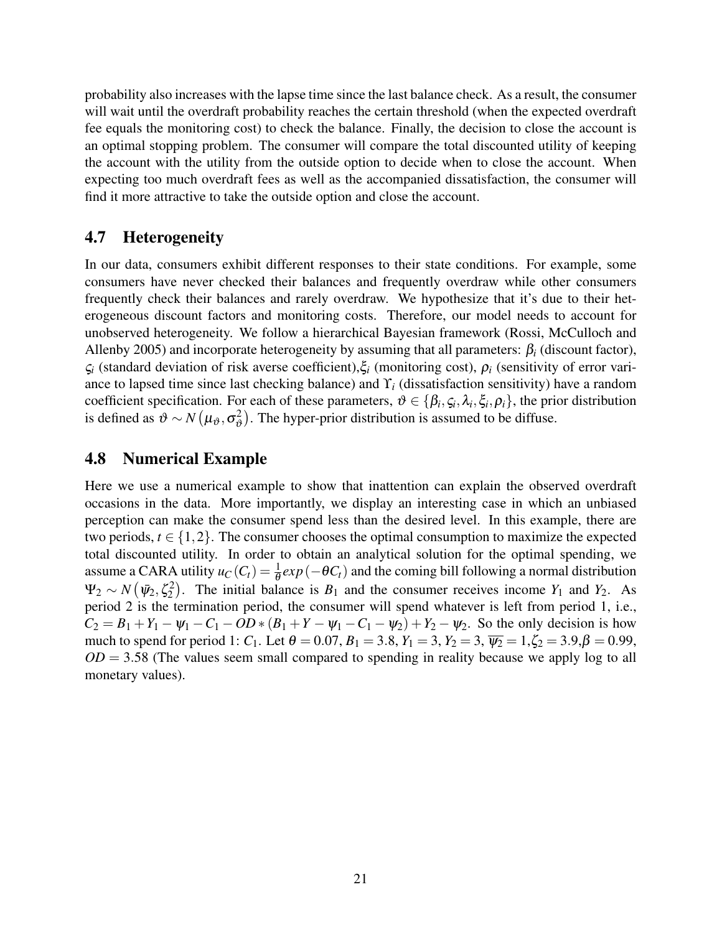probability also increases with the lapse time since the last balance check. As a result, the consumer will wait until the overdraft probability reaches the certain threshold (when the expected overdraft fee equals the monitoring cost) to check the balance. Finally, the decision to close the account is an optimal stopping problem. The consumer will compare the total discounted utility of keeping the account with the utility from the outside option to decide when to close the account. When expecting too much overdraft fees as well as the accompanied dissatisfaction, the consumer will find it more attractive to take the outside option and close the account.

## 4.7 Heterogeneity

In our data, consumers exhibit different responses to their state conditions. For example, some consumers have never checked their balances and frequently overdraw while other consumers frequently check their balances and rarely overdraw. We hypothesize that it's due to their heterogeneous discount factors and monitoring costs. Therefore, our model needs to account for unobserved heterogeneity. We follow a hierarchical Bayesian framework (Rossi, McCulloch and Allenby 2005) and incorporate heterogeneity by assuming that all parameters:  $\beta_i$  (discount factor), ς*<sup>i</sup>* (standard deviation of risk averse coefficient),ξ*<sup>i</sup>* (monitoring cost), ρ*<sup>i</sup>* (sensitivity of error variance to lapsed time since last checking balance) and ϒ*<sup>i</sup>* (dissatisfaction sensitivity) have a random coefficient specification. For each of these parameters,  $\vartheta \in \{\beta_i, \zeta_i, \lambda_i, \xi_i, \rho_i\}$ , the prior distribution is defined as  $\vartheta \sim N(\mu_\vartheta, \sigma^2_\vartheta)$  $\binom{2}{2}$ . The hyper-prior distribution is assumed to be diffuse.

## 4.8 Numerical Example

Here we use a numerical example to show that inattention can explain the observed overdraft occasions in the data. More importantly, we display an interesting case in which an unbiased perception can make the consumer spend less than the desired level. In this example, there are two periods,  $t \in \{1,2\}$ . The consumer chooses the optimal consumption to maximize the expected total discounted utility. In order to obtain an analytical solution for the optimal spending, we assume a CARA utility  $u_C(C_t) = \frac{1}{\theta} exp(-\theta C_t)$  and the coming bill following a normal distribution  $\Psi_2 \sim N(\bar{\psi}_2, \zeta_2^2)$ . The initial balance is  $B_1$  and the consumer receives income  $Y_1$  and  $Y_2$ . As period 2 is the termination period, the consumer will spend whatever is left from period 1, i.e.,  $C_2 = B_1 + Y_1 - \psi_1 - C_1 - OD * (B_1 + Y - \psi_1 - C_1 - \psi_2) + Y_2 - \psi_2$ . So the only decision is how much to spend for period 1: *C*<sub>1</sub>. Let  $\theta = 0.07$ ,  $B_1 = 3.8$ ,  $Y_1 = 3$ ,  $Y_2 = 3$ ,  $\overline{V_2} = 1$ ,  $\zeta_2 = 3.9$ ,  $\beta = 0.99$ ,  $OD = 3.58$  (The values seem small compared to spending in reality because we apply log to all monetary values).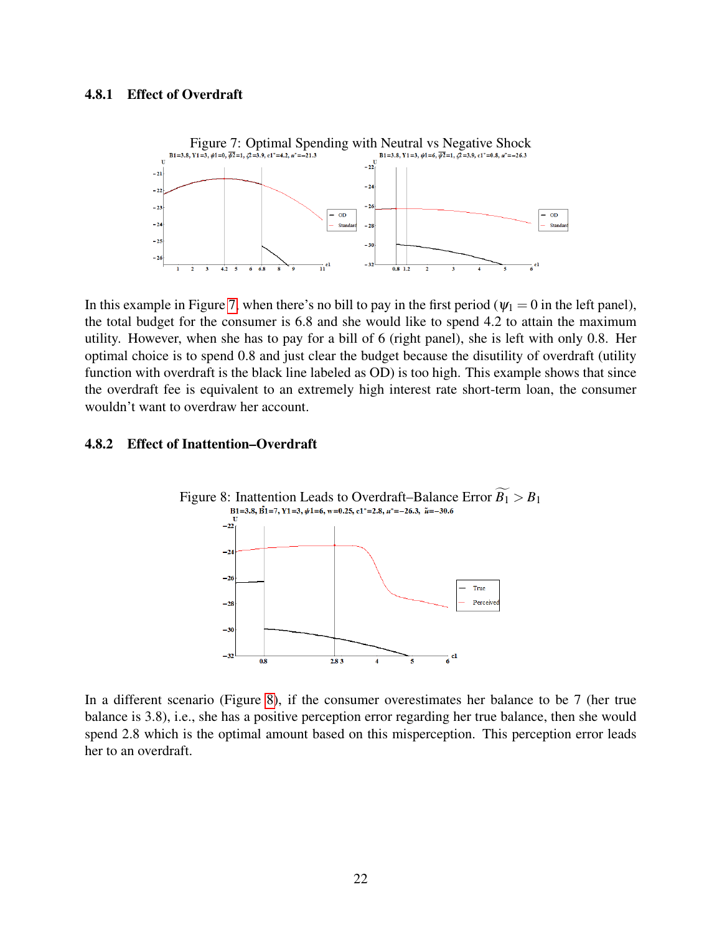#### <span id="page-21-2"></span>4.8.1 Effect of Overdraft

<span id="page-21-0"></span>

In this example in Figure [7,](#page-21-0) when there's no bill to pay in the first period ( $\psi_1 = 0$  in the left panel), the total budget for the consumer is 6.8 and she would like to spend 4.2 to attain the maximum utility. However, when she has to pay for a bill of 6 (right panel), she is left with only 0.8. Her optimal choice is to spend 0.8 and just clear the budget because the disutility of overdraft (utility function with overdraft is the black line labeled as OD) is too high. This example shows that since the overdraft fee is equivalent to an extremely high interest rate short-term loan, the consumer wouldn't want to overdraw her account.

#### 4.8.2 Effect of Inattention–Overdraft

<span id="page-21-1"></span>

In a different scenario (Figure [8\)](#page-21-1), if the consumer overestimates her balance to be 7 (her true balance is 3.8), i.e., she has a positive perception error regarding her true balance, then she would spend 2.8 which is the optimal amount based on this misperception. This perception error leads her to an overdraft.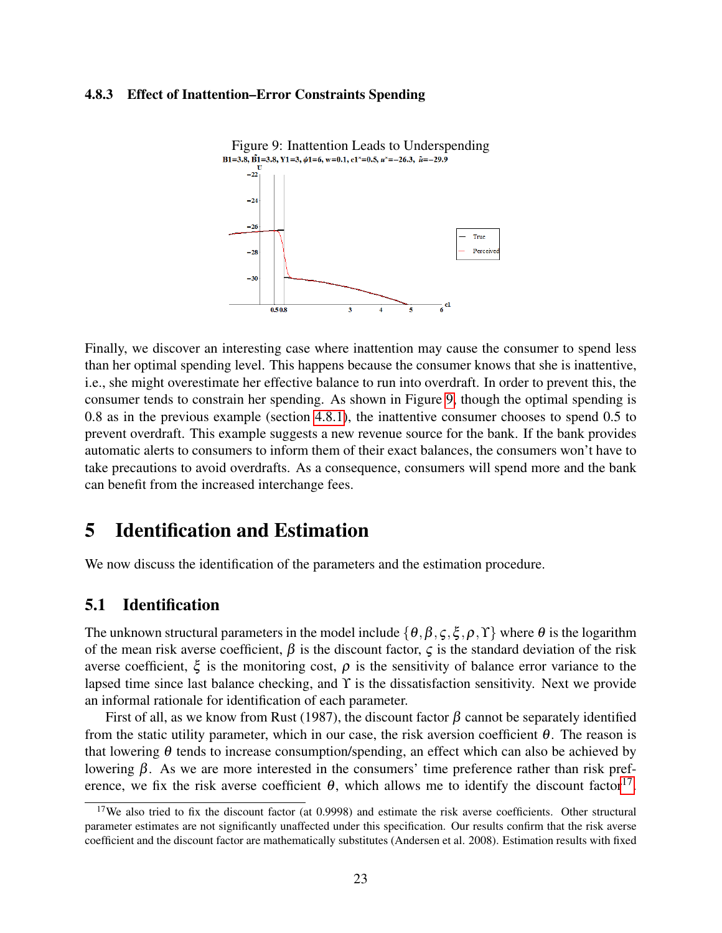#### <span id="page-22-3"></span>4.8.3 Effect of Inattention–Error Constraints Spending

<span id="page-22-1"></span>

Finally, we discover an interesting case where inattention may cause the consumer to spend less than her optimal spending level. This happens because the consumer knows that she is inattentive, i.e., she might overestimate her effective balance to run into overdraft. In order to prevent this, the consumer tends to constrain her spending. As shown in Figure [9,](#page-22-1) though the optimal spending is 0.8 as in the previous example (section [4.8.1\)](#page-21-2), the inattentive consumer chooses to spend 0.5 to prevent overdraft. This example suggests a new revenue source for the bank. If the bank provides automatic alerts to consumers to inform them of their exact balances, the consumers won't have to take precautions to avoid overdrafts. As a consequence, consumers will spend more and the bank can benefit from the increased interchange fees.

## <span id="page-22-0"></span>5 Identification and Estimation

We now discuss the identification of the parameters and the estimation procedure.

## 5.1 Identification

The unknown structural parameters in the model include  $\{\theta, \beta, \zeta, \xi, \rho, \Upsilon\}$  where  $\theta$  is the logarithm of the mean risk averse coefficient,  $\beta$  is the discount factor,  $\zeta$  is the standard deviation of the risk averse coefficient,  $\xi$  is the monitoring cost,  $\rho$  is the sensitivity of balance error variance to the lapsed time since last balance checking, and ϒ is the dissatisfaction sensitivity. Next we provide an informal rationale for identification of each parameter.

First of all, as we know from Rust (1987), the discount factor  $\beta$  cannot be separately identified from the static utility parameter, which in our case, the risk aversion coefficient  $\theta$ . The reason is that lowering  $\theta$  tends to increase consumption/spending, an effect which can also be achieved by lowering  $β$ . As we are more interested in the consumers' time preference rather than risk preference, we fix the risk averse coefficient  $\theta$ , which allows me to identify the discount factor<sup>[17](#page-22-2)</sup>.

<span id="page-22-2"></span> $17$ We also tried to fix the discount factor (at 0.9998) and estimate the risk averse coefficients. Other structural parameter estimates are not significantly unaffected under this specification. Our results confirm that the risk averse coefficient and the discount factor are mathematically substitutes (Andersen et al. 2008). Estimation results with fixed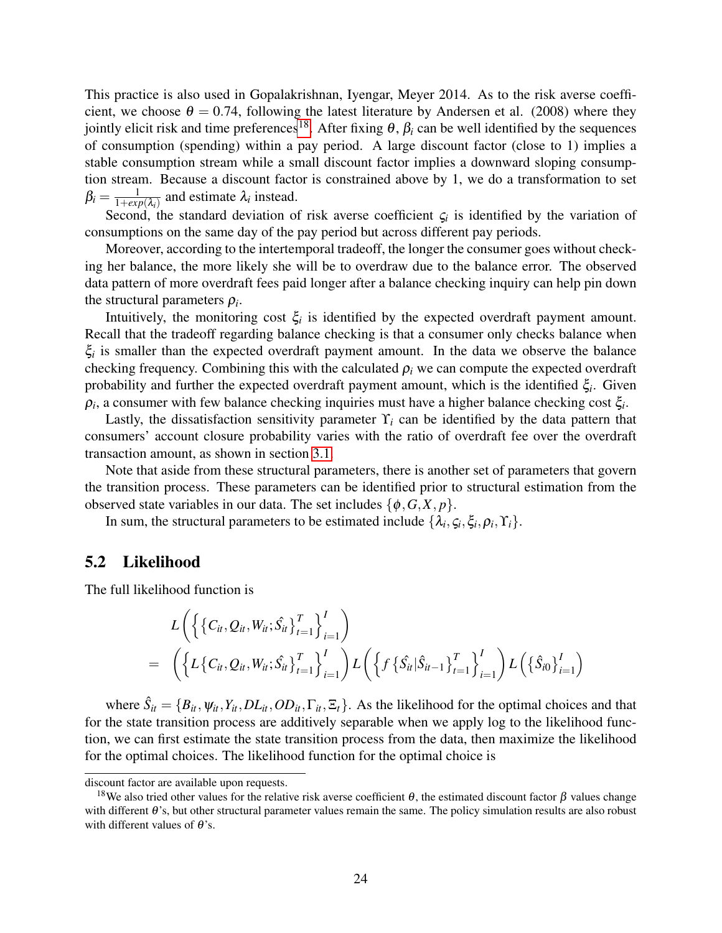This practice is also used in Gopalakrishnan, Iyengar, Meyer 2014. As to the risk averse coefficient, we choose  $\theta = 0.74$ , following the latest literature by Andersen et al. (2008) where they jointly elicit risk and time preferences<sup>[18](#page-23-0)</sup>. After fixing  $θ$ ,  $β<sub>i</sub>$  can be well identified by the sequences of consumption (spending) within a pay period. A large discount factor (close to 1) implies a stable consumption stream while a small discount factor implies a downward sloping consumption stream. Because a discount factor is constrained above by 1, we do a transformation to set  $\beta_i = \frac{1}{1+exi}$  $\frac{1}{1+exp(\lambda_i)}$  and estimate  $\lambda_i$  instead.

Second, the standard deviation of risk averse coefficient  $\zeta_i$  is identified by the variation of consumptions on the same day of the pay period but across different pay periods.

Moreover, according to the intertemporal tradeoff, the longer the consumer goes without checking her balance, the more likely she will be to overdraw due to the balance error. The observed data pattern of more overdraft fees paid longer after a balance checking inquiry can help pin down the structural parameters  $\rho_i$ .

Intuitively, the monitoring cost  $\xi$ <sup>*i*</sup> is identified by the expected overdraft payment amount. Recall that the tradeoff regarding balance checking is that a consumer only checks balance when  $\xi$ <sup>*i*</sup> is smaller than the expected overdraft payment amount. In the data we observe the balance checking frequency. Combining this with the calculated  $\rho_i$  we can compute the expected overdraft probability and further the expected overdraft payment amount, which is the identified ξ*<sup>i</sup>* . Given  $\rho_i$ , a consumer with few balance checking inquiries must have a higher balance checking cost  $\xi_i$ .

Lastly, the dissatisfaction sensitivity parameter  $\Upsilon_i$  can be identified by the data pattern that consumers' account closure probability varies with the ratio of overdraft fee over the overdraft transaction amount, as shown in section [3.1.](#page-4-4)

Note that aside from these structural parameters, there is another set of parameters that govern the transition process. These parameters can be identified prior to structural estimation from the observed state variables in our data. The set includes  $\{\phi, G, X, p\}$ .

In sum, the structural parameters to be estimated include  $\{\lambda_i, \zeta_i, \xi_i, \rho_i, \Upsilon_i\}$ .

### 5.2 Likelihood

The full likelihood function is

$$
L\left(\left\{\left\{C_{it},Q_{it},W_{it};\hat{S}_{it}\right\}_{t=1}^{T}\right\}_{i=1}^{I}\right) \\
= \left(\left\{L\left\{C_{it},Q_{it},W_{it};\hat{S}_{it}\right\}_{t=1}^{T}\right\}_{i=1}^{I}\right)L\left(\left\{f\left\{\hat{S}_{it}|\hat{S}_{it-1}\right\}_{t=1}^{T}\right\}_{i=1}^{I}\right)L\left(\left\{\hat{S}_{i0}\right\}_{i=1}^{I}\right)
$$

where  $\hat{S}_{it} = \{B_{it}, \psi_{it}, Y_{it}, DL_{it}, OD_{it}, \Gamma_{it}, \Xi_t\}$ . As the likelihood for the optimal choices and that for the state transition process are additively separable when we apply log to the likelihood function, we can first estimate the state transition process from the data, then maximize the likelihood for the optimal choices. The likelihood function for the optimal choice is

discount factor are available upon requests.

<span id="page-23-0"></span><sup>&</sup>lt;sup>18</sup>We also tried other values for the relative risk averse coefficient θ, the estimated discount factor β values change with different  $\theta$ 's, but other structural parameter values remain the same. The policy simulation results are also robust with different values of  $\theta$ 's.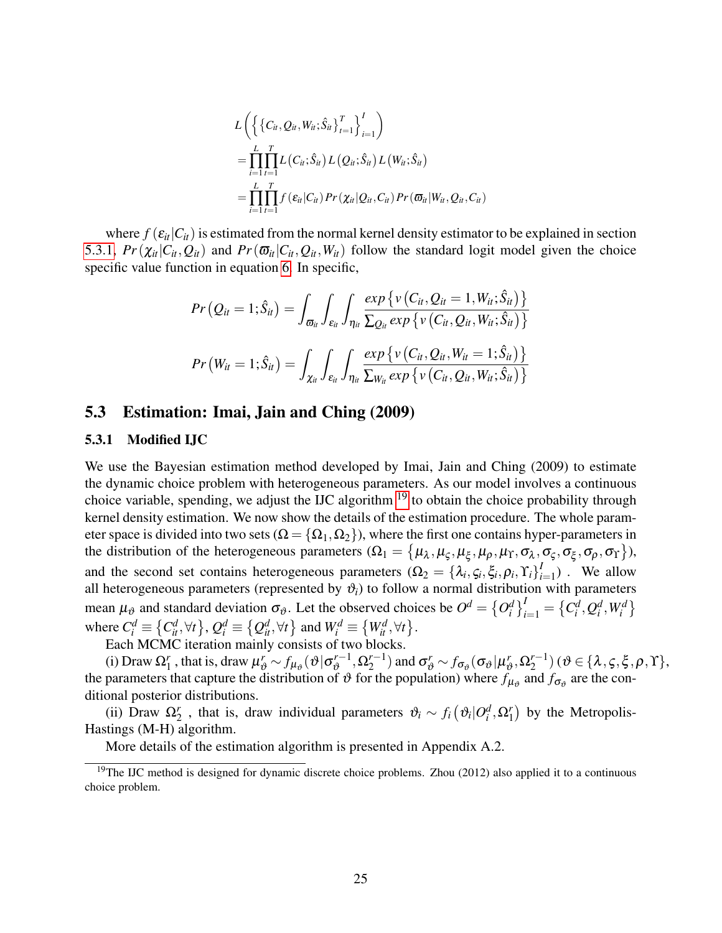$$
L\left(\left\{ \{C_{it}, Q_{it}, W_{it}; \hat{S}_{it}\}_{t=1}^{T} \right\}_{i=1}^{I} \right)
$$
  
= 
$$
\prod_{i=1}^{L} \prod_{t=1}^{T} L(C_{it}; \hat{S}_{it}) L(Q_{it}; \hat{S}_{it}) L(W_{it}; \hat{S}_{it})
$$
  
= 
$$
\prod_{i=1}^{L} \prod_{t=1}^{T} f(\varepsilon_{it} | C_{it}) Pr(\chi_{it} | Q_{it}, C_{it}) Pr(\varpi_{it} | W_{it}, Q_{it}, C_{it})
$$

where  $f(\epsilon_{it}|C_i)$  is estimated from the normal kernel density estimator to be explained in section [5.3.1,](#page-24-0)  $Pr(\chi_{it}|C_{it}, Q_{it})$  and  $Pr(\overline{\omega}_{it}|C_{it}, Q_{it}, W_{it})$  follow the standard logit model given the choice specific value function in equation [6.](#page-19-0) In specific,

$$
Pr\left(Q_{it}=1;\hat{S}_{it}\right)=\int_{\varpi_{it}}\int_{\varepsilon_{it}}\int_{\eta_{it}}\frac{exp\left\{v\left(C_{it},Q_{it}=1,W_{it};\hat{S}_{it}\right)\right\}}{\sum_{Q_{it}}exp\left\{v\left(C_{it},Q_{it},W_{it};\hat{S}_{it}\right)\right\}}
$$

$$
Pr\left(W_{it}=1;\hat{S}_{it}\right)=\int_{\chi_{it}}\int_{\varepsilon_{it}}\int_{\eta_{it}}\frac{exp\left\{v\left(C_{it},Q_{it},W_{it}=1;\hat{S}_{it}\right)\right\}}{\sum_{W_{it}}exp\left\{v\left(C_{it},Q_{it},W_{it};\hat{S}_{it}\right)\right\}}
$$

#### 5.3 Estimation: Imai, Jain and Ching (2009)

#### <span id="page-24-0"></span>5.3.1 Modified IJC

We use the Bayesian estimation method developed by Imai, Jain and Ching (2009) to estimate the dynamic choice problem with heterogeneous parameters. As our model involves a continuous choice variable, spending, we adjust the IJC algorithm  $19$  to obtain the choice probability through kernel density estimation. We now show the details of the estimation procedure. The whole parameter space is divided into two sets ( $\Omega = \{\Omega_1, \Omega_2\}$ ), where the first one contains hyper-parameters in the distribution of the heterogeneous parameters  $(\Omega_1 = {\mu_\lambda, \mu_\varsigma, \mu_\xi, \mu_\rho, \mu_\Upsilon, \sigma_\lambda, \sigma_\varsigma, \sigma_\xi, \sigma_\rho, \sigma_\Upsilon}),$ and the second set contains heterogeneous parameters  $(\Omega_2 = {\lambda_i, \zeta_i, \xi_i, \rho_i, \Upsilon_i}^I$  $_{i=1}^{I}$ ) . We allow all heterogeneous parameters (represented by  $\vartheta_i$ ) to follow a normal distribution with parameters mean  $\mu_{\vartheta}$  and standard deviation  $\sigma_{\vartheta}$ . Let the observed choices be  $O^d = \{O_i^d\}_{i=1}^I = \{C_i^d, Q_i^d, W_i^d\}$ where  $C_i^d \equiv \{C_{it}^d, \forall t\}$ ,  $Q_i^d \equiv \{Q_{it}^d, \forall t\}$  and  $W_i^d \equiv \{W_{it}^d, \forall t\}$ .

Each MCMC iteration mainly consists of two blocks.

(i) Draw  $\Omega_1^r$ , that is, draw  $\mu_{\vartheta}^r \sim f_{\mu_{\vartheta}}(\vartheta | \sigma_{\vartheta}^{r-1})$  $\alpha_2^{r-1}, \Omega_2^{r-1}$  $\sigma_{\alpha}^{r-1}$ ) and  $\sigma_{\vartheta}^{r} \sim f_{\sigma_{\vartheta}}(\sigma_{\vartheta}|\mu_{\vartheta}^{r})$  $r_{\vartheta}^r, \Omega_2^{r-1}$  $\binom{r-1}{2}$  (  $\vartheta \in \{ \lambda, \varsigma, \xi, \rho, \Upsilon \},$ the parameters that capture the distribution of  $\vartheta$  for the population) where  $f_{\mu_{\vartheta}}$  and  $f_{\sigma_{\vartheta}}$  are the conditional posterior distributions.

(ii) Draw  $\Omega_2^r$ , that is, draw individual parameters  $\vartheta_i \sim f_i(\vartheta_i|O_i^d,\Omega_1^r)$  by the Metropolis-Hastings (M-H) algorithm.

<span id="page-24-1"></span>More details of the estimation algorithm is presented in Appendix A.2.

<sup>&</sup>lt;sup>19</sup>The IJC method is designed for dynamic discrete choice problems. Zhou (2012) also applied it to a continuous choice problem.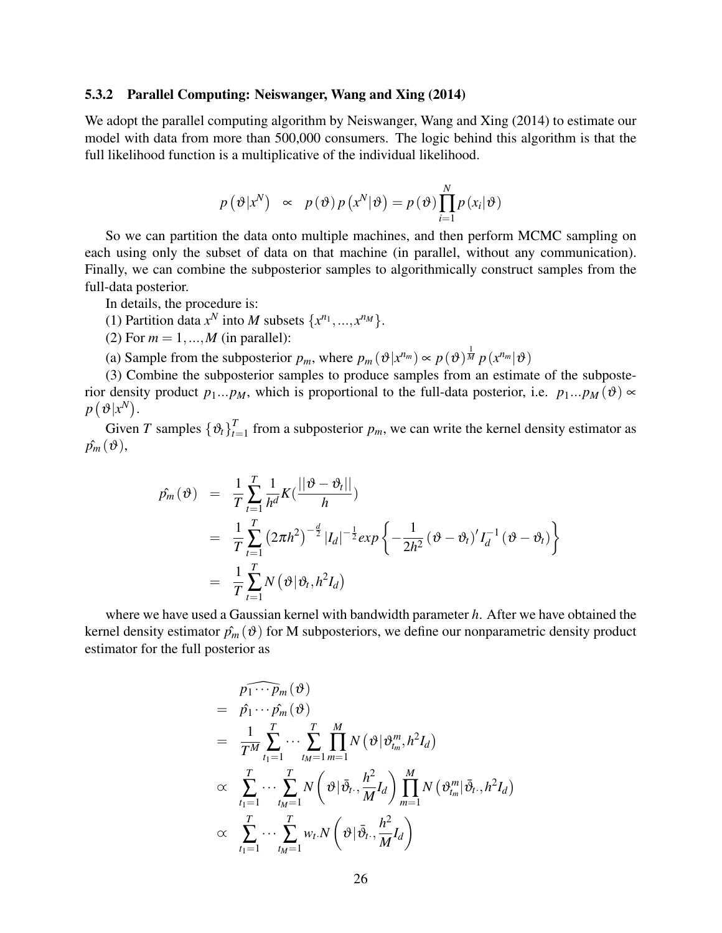#### 5.3.2 Parallel Computing: Neiswanger, Wang and Xing (2014)

We adopt the parallel computing algorithm by Neiswanger, Wang and Xing (2014) to estimate our model with data from more than 500,000 consumers. The logic behind this algorithm is that the full likelihood function is a multiplicative of the individual likelihood.

$$
p(\theta|x^N) \propto p(\theta)p(x^N|\theta) = p(\theta)\prod_{i=1}^N p(x_i|\theta)
$$

So we can partition the data onto multiple machines, and then perform MCMC sampling on each using only the subset of data on that machine (in parallel, without any communication). Finally, we can combine the subposterior samples to algorithmically construct samples from the full-data posterior.

In details, the procedure is:

(1) Partition data  $x^N$  into *M* subsets  $\{x^{n_1},...,x^{n_M}\}.$ 

(2) For  $m = 1, ..., M$  (in parallel):

(a) Sample from the subposterior  $p_m$ , where  $p_m(\vartheta | x^{n_m}) \propto p(\vartheta)^\frac{1}{M} p(x^{n_m}|\vartheta)$ 

(3) Combine the subposterior samples to produce samples from an estimate of the subposterior density product  $p_1...p_M$ , which is proportional to the full-data posterior, i.e.  $p_1...p_M(\vartheta) \propto$  $p\left(\vartheta | x^N\right)$ .

Given *T* samples  $\{\vartheta_t\}_{t=1}^T$  $t_{t=1}$  from a subposterior  $p_m$ , we can write the kernel density estimator as  $\hat{p_m}(\vartheta),$ 

$$
\begin{array}{rcl}\n\hat{p_m}(\vartheta) & = & \frac{1}{T} \sum_{t=1}^{T} \frac{1}{h^d} K(\frac{||\vartheta - \vartheta_t||}{h}) \\
& = & \frac{1}{T} \sum_{t=1}^{T} \left(2\pi h^2\right)^{-\frac{d}{2}} |I_d|^{-\frac{1}{2}} \exp\left\{-\frac{1}{2h^2} (\vartheta - \vartheta_t)' I_d^{-1} (\vartheta - \vartheta_t)\right\} \\
& = & \frac{1}{T} \sum_{t=1}^{T} N(\vartheta | \vartheta_t, h^2 I_d)\n\end{array}
$$

where we have used a Gaussian kernel with bandwidth parameter *h*. After we have obtained the kernel density estimator  $\hat{p}_m(\theta)$  for M subposteriors, we define our nonparametric density product estimator for the full posterior as

$$
\begin{aligned}\n&\bar{p_1 \cdots p_m}(\vartheta) \\
&= \hat{p_1} \cdots \hat{p_m}(\vartheta) \\
&= \frac{1}{T^M} \sum_{t_1=1}^T \cdots \sum_{t_M=1}^T \prod_{m=1}^M N(\vartheta | \vartheta_{t_m}^m, h^2 I_d) \\
&\propto \sum_{t_1=1}^T \cdots \sum_{t_M=1}^T N(\vartheta | \bar{\vartheta}_{t\cdot}, \frac{h^2}{M} I_d) \prod_{m=1}^M N(\vartheta_{t_m}^m | \bar{\vartheta}_{t\cdot}, h^2 I_d) \\
&\propto \sum_{t_1=1}^T \cdots \sum_{t_M=1}^T w_t . N(\vartheta | \bar{\vartheta}_{t\cdot}, \frac{h^2}{M} I_d)\n\end{aligned}
$$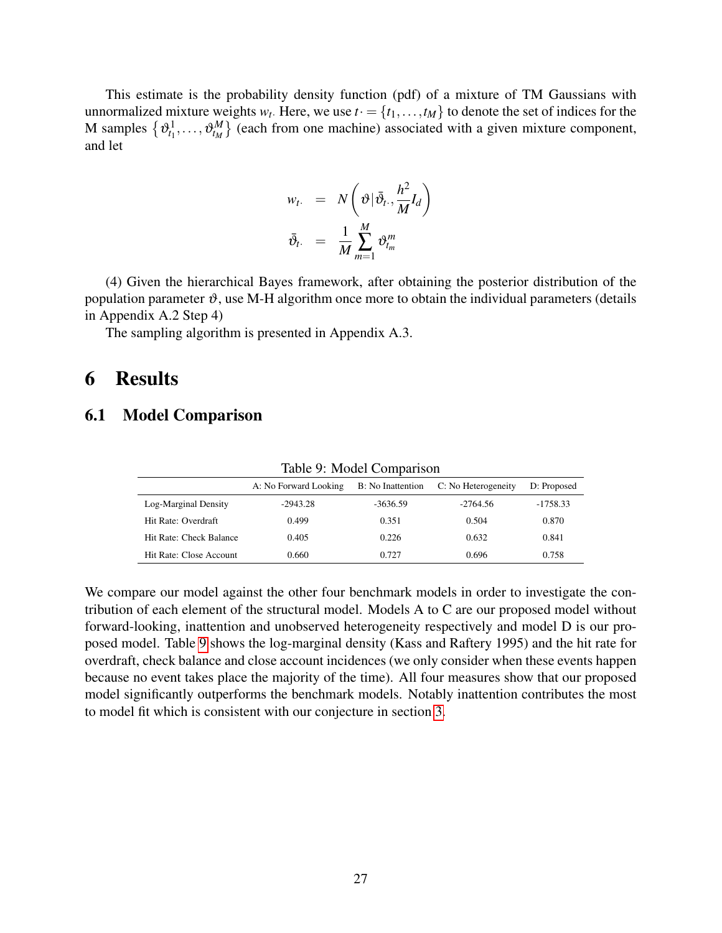This estimate is the probability density function (pdf) of a mixture of TM Gaussians with unnormalized mixture weights  $w_t$ . Here, we use  $t = \{t_1, \ldots, t_M\}$  to denote the set of indices for the M samples  $\{\theta_{t_1}^1, \ldots, \theta_{t_M}^M\}$  (each from one machine) associated with a given mixture component, and let

$$
w_t. = N\left(\vartheta | \bar{\vartheta}_t, \frac{h^2}{M} I_d\right)
$$
  

$$
\bar{\vartheta}_t. = \frac{1}{M} \sum_{m=1}^{M} \vartheta_{t_m}^m
$$

(4) Given the hierarchical Bayes framework, after obtaining the posterior distribution of the population parameter  $\vartheta$ , use M-H algorithm once more to obtain the individual parameters (details in Appendix A.2 Step 4)

The sampling algorithm is presented in Appendix A.3.

## <span id="page-26-0"></span>6 Results

### 6.1 Model Comparison

|                         | A: No Forward Looking | B: No Inattention | C: No Heterogeneity | D: Proposed |
|-------------------------|-----------------------|-------------------|---------------------|-------------|
| Log-Marginal Density    | $-2943.28$            | $-3636.59$        | $-2764.56$          | $-1758.33$  |
| Hit Rate: Overdraft     | 0.499                 | 0.351             | 0.504               | 0.870       |
| Hit Rate: Check Balance | 0.405                 | 0.226             | 0.632               | 0.841       |
| Hit Rate: Close Account | 0.660                 | 0.727             | 0.696               | 0.758       |

<span id="page-26-1"></span>Table 9: Model Comparison

We compare our model against the other four benchmark models in order to investigate the contribution of each element of the structural model. Models A to C are our proposed model without forward-looking, inattention and unobserved heterogeneity respectively and model D is our proposed model. Table [9](#page-26-1) shows the log-marginal density (Kass and Raftery 1995) and the hit rate for overdraft, check balance and close account incidences (we only consider when these events happen because no event takes place the majority of the time). All four measures show that our proposed model significantly outperforms the benchmark models. Notably inattention contributes the most to model fit which is consistent with our conjecture in section [3.](#page-3-0)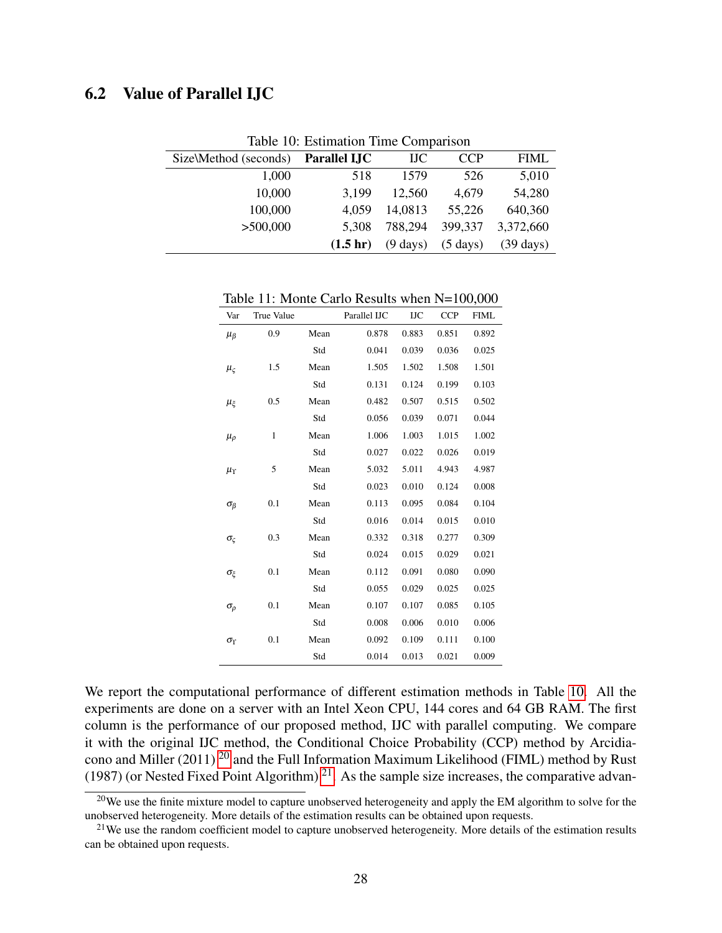## 6.2 Value of Parallel IJC

| rable TV: Estimation Time Comparison |                     |                    |                    |                     |  |
|--------------------------------------|---------------------|--------------------|--------------------|---------------------|--|
| Size\Method (seconds)                | <b>Parallel IJC</b> | <b>IJC</b>         | <b>CCP</b>         | <b>FIML</b>         |  |
| 1,000                                | 518                 | 1579               | 526                | 5,010               |  |
| 10,000                               | 3,199               | 12,560             | 4,679              | 54,280              |  |
| 100,000                              | 4,059               | 14,0813            | 55,226             | 640,360             |  |
| >500,000                             | 5.308               | 788,294            | 399,337            | 3,372,660           |  |
|                                      | $(1.5 \text{ hr})$  | $(9 \text{ days})$ | $(5 \text{ days})$ | $(39 \text{ days})$ |  |

<span id="page-27-0"></span>Table 10: Estimation Time Comparison

<span id="page-27-3"></span>Table 11: Monte Carlo Results when N=100,000

| Var                  | True Value |      | Parallel IJC | <b>IJC</b> | <b>CCP</b> | <b>FIML</b> |
|----------------------|------------|------|--------------|------------|------------|-------------|
| $\mu_{\beta}$        | 0.9        | Mean | 0.878        | 0.883      | 0.851      | 0.892       |
|                      |            | Std  | 0.041        | 0.039      | 0.036      | 0.025       |
| $\mu_{\varsigma}$    | 1.5        | Mean | 1.505        | 1.502      | 1.508      | 1.501       |
|                      |            | Std  | 0.131        | 0.124      | 0.199      | 0.103       |
| μŗ                   | 0.5        | Mean | 0.482        | 0.507      | 0.515      | 0.502       |
|                      |            | Std  | 0.056        | 0.039      | 0.071      | 0.044       |
| $\mu_{\rho}$         | 1          | Mean | 1.006        | 1.003      | 1.015      | 1.002       |
|                      |            | Std  | 0.027        | 0.022      | 0.026      | 0.019       |
| $\mu_{\Upsilon}$     | 5          | Mean | 5.032        | 5.011      | 4.943      | 4.987       |
|                      |            | Std  | 0.023        | 0.010      | 0.124      | 0.008       |
| $\sigma_{\beta}$     | 0.1        | Mean | 0.113        | 0.095      | 0.084      | 0.104       |
|                      |            | Std  | 0.016        | 0.014      | 0.015      | 0.010       |
| $\sigma_{\varsigma}$ | 0.3        | Mean | 0.332        | 0.318      | 0.277      | 0.309       |
|                      |            | Std  | 0.024        | 0.015      | 0.029      | 0.021       |
| σε                   | 0.1        | Mean | 0.112        | 0.091      | 0.080      | 0.090       |
|                      |            | Std  | 0.055        | 0.029      | 0.025      | 0.025       |
| $\sigma_{\rho}$      | 0.1        | Mean | 0.107        | 0.107      | 0.085      | 0.105       |
|                      |            | Std  | 0.008        | 0.006      | 0.010      | 0.006       |
| $\sigma_{\Upsilon}$  | 0.1        | Mean | 0.092        | 0.109      | 0.111      | 0.100       |
|                      |            | Std  | 0.014        | 0.013      | 0.021      | 0.009       |

We report the computational performance of different estimation methods in Table [10.](#page-27-0) All the experiments are done on a server with an Intel Xeon CPU, 144 cores and 64 GB RAM. The first column is the performance of our proposed method, IJC with parallel computing. We compare it with the original IJC method, the Conditional Choice Probability (CCP) method by Arcidia-cono and Miller ([20](#page-27-1)11)  $^{20}$  and the Full Information Maximum Likelihood (FIML) method by Rust (1987) (or Nested Fixed Point Algorithm)  $^{21}$  $^{21}$  $^{21}$ . As the sample size increases, the comparative advan-

<span id="page-27-1"></span><sup>&</sup>lt;sup>20</sup>We use the finite mixture model to capture unobserved heterogeneity and apply the EM algorithm to solve for the unobserved heterogeneity. More details of the estimation results can be obtained upon requests.

<span id="page-27-2"></span> $21$ We use the random coefficient model to capture unobserved heterogeneity. More details of the estimation results can be obtained upon requests.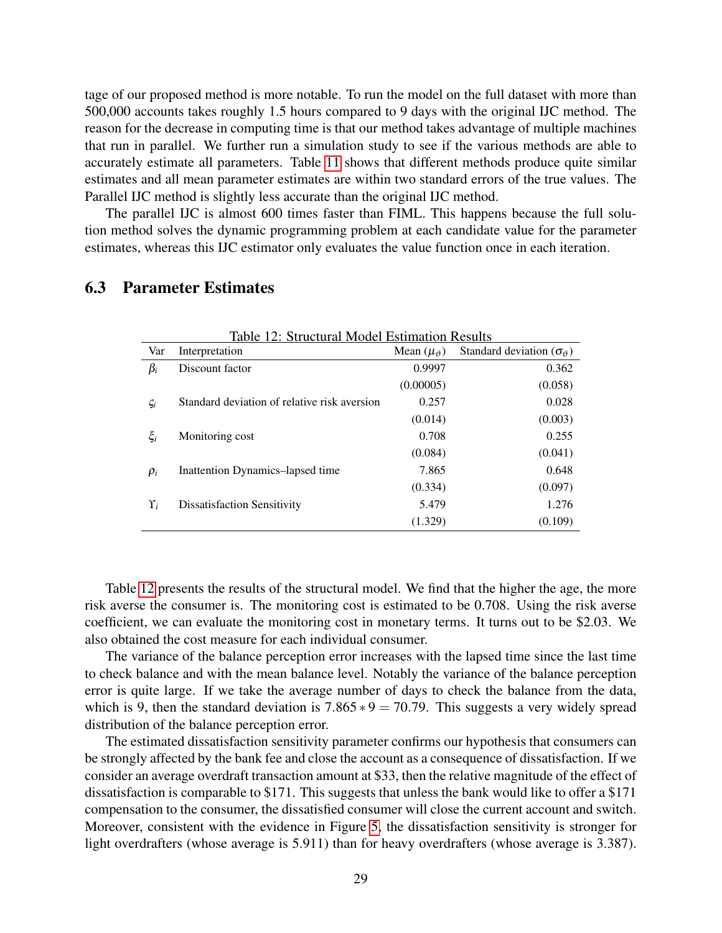tage of our proposed method is more notable. To run the model on the full dataset with more than 500,000 accounts takes roughly 1.5 hours compared to 9 days with the original IJC method. The reason for the decrease in computing time is that our method takes advantage of multiple machines that run in parallel. We further run a simulation study to see if the various methods are able to accurately estimate all parameters. Table [11](#page-27-3) shows that different methods produce quite similar estimates and all mean parameter estimates are within two standard errors of the true values. The Parallel IJC method is slightly less accurate than the original IJC method.

The parallel IJC is almost 600 times faster than FIML. This happens because the full solution method solves the dynamic programming problem at each candidate value for the parameter estimates, whereas this IJC estimator only evaluates the value function once in each iteration.

<span id="page-28-0"></span>

| Table 12: Structural Model Estimation Results |                                              |                          |                                          |  |  |
|-----------------------------------------------|----------------------------------------------|--------------------------|------------------------------------------|--|--|
| Var                                           | Interpretation                               | Mean $(\mu_{\vartheta})$ | Standard deviation ( $\sigma_{\theta}$ ) |  |  |
| $\beta_i$                                     | Discount factor                              | 0.9997                   | 0.362                                    |  |  |
|                                               |                                              | (0.00005)                | (0.058)                                  |  |  |
| $\varsigma_i$                                 | Standard deviation of relative risk aversion | 0.257                    | 0.028                                    |  |  |
|                                               |                                              | (0.014)                  | (0.003)                                  |  |  |
| $\xi_i$                                       | Monitoring cost                              | 0.708                    | 0.255                                    |  |  |
|                                               |                                              | (0.084)                  | (0.041)                                  |  |  |
| $\rho_i$                                      | Inattention Dynamics-lapsed time             | 7.865                    | 0.648                                    |  |  |
|                                               |                                              | (0.334)                  | (0.097)                                  |  |  |
| Y,                                            | <b>Dissatisfaction Sensitivity</b>           | 5.479                    | 1.276                                    |  |  |
|                                               |                                              | (1.329)                  | (0.109)                                  |  |  |

### 6.3 Parameter Estimates

Table [12](#page-28-0) presents the results of the structural model. We find that the higher the age, the more risk averse the consumer is. The monitoring cost is estimated to be 0.708. Using the risk averse coefficient, we can evaluate the monitoring cost in monetary terms. It turns out to be \$2.03. We also obtained the cost measure for each individual consumer.

The variance of the balance perception error increases with the lapsed time since the last time to check balance and with the mean balance level. Notably the variance of the balance perception error is quite large. If we take the average number of days to check the balance from the data, which is 9, then the standard deviation is  $7.865 * 9 = 70.79$ . This suggests a very widely spread distribution of the balance perception error.

The estimated dissatisfaction sensitivity parameter confirms our hypothesis that consumers can be strongly affected by the bank fee and close the account as a consequence of dissatisfaction. If we consider an average overdraft transaction amount at \$33, then the relative magnitude of the effect of dissatisfaction is comparable to \$171. This suggests that unless the bank would like to offer a \$171 compensation to the consumer, the dissatisfied consumer will close the current account and switch. Moreover, consistent with the evidence in Figure [5,](#page-12-2) the dissatisfaction sensitivity is stronger for light overdrafters (whose average is 5.911) than for heavy overdrafters (whose average is 3.387).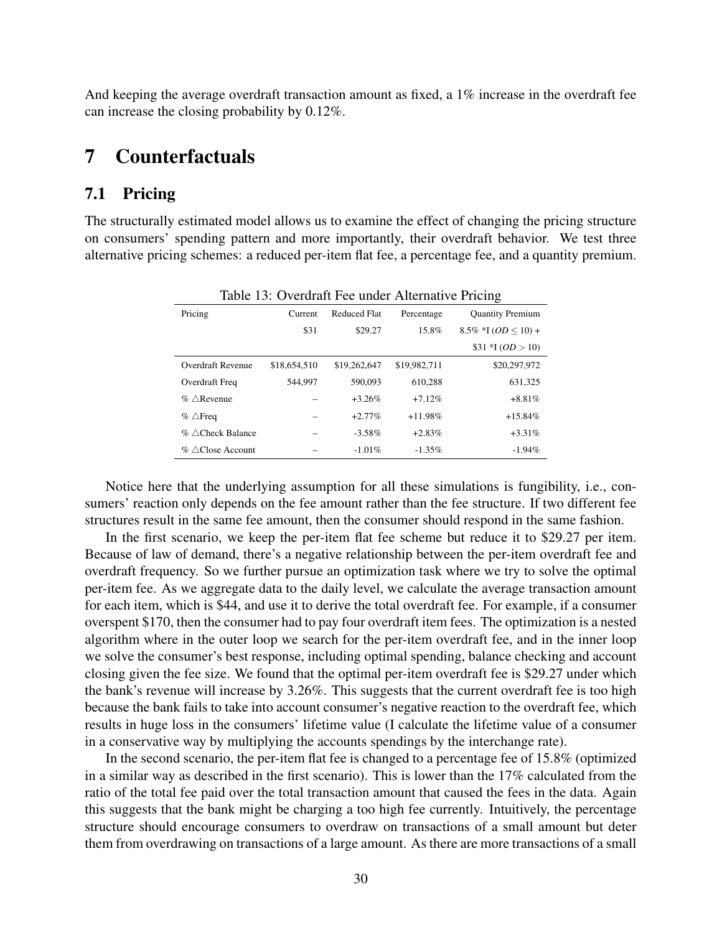And keeping the average overdraft transaction amount as fixed, a 1% increase in the overdraft fee can increase the closing probability by 0.12%.

## <span id="page-29-0"></span>7 Counterfactuals

## 7.1 Pricing

The structurally estimated model allows us to examine the effect of changing the pricing structure on consumers' spending pattern and more importantly, their overdraft behavior. We test three alternative pricing schemes: a reduced per-item flat fee, a percentage fee, and a quantity premium.

| Table 13: Overdraft Fee under Alternative Pricing |              |                     |              |                                |  |  |
|---------------------------------------------------|--------------|---------------------|--------------|--------------------------------|--|--|
| Pricing                                           | Current      | <b>Reduced Flat</b> | Percentage   | <b>Quantity Premium</b>        |  |  |
|                                                   | \$31         | \$29.27             | 15.8%        | $8.5\%$ *I ( <i>OD</i> < 10) + |  |  |
|                                                   |              |                     |              | $$31 * I (OD > 10)$            |  |  |
| Overdraft Revenue                                 | \$18,654,510 | \$19,262,647        | \$19,982,711 | \$20,297,972                   |  |  |
| Overdraft Freq                                    | 544,997      | 590,093             | 610.288      | 631,325                        |  |  |
| $\%$ $\triangle$ Revenue                          |              | $+3.26%$            | $+7.12%$     | $+8.81%$                       |  |  |
| $\%$ $\triangle$ Freq                             |              | $+2.77\%$           | $+11.98%$    | $+15.84%$                      |  |  |
| $\%$ $\triangle$ Check Balance                    |              | $-3.58\%$           | $+2.83%$     | $+3.31\%$                      |  |  |
| $\%$ $\wedge$ Close Account                       |              | $-1.01\%$           | $-1.35\%$    | $-1.94%$                       |  |  |

<span id="page-29-1"></span>Table 13: Overdraft Fee under Alternative Pricing

Notice here that the underlying assumption for all these simulations is fungibility, i.e., consumers' reaction only depends on the fee amount rather than the fee structure. If two different fee structures result in the same fee amount, then the consumer should respond in the same fashion.

In the first scenario, we keep the per-item flat fee scheme but reduce it to \$29.27 per item. Because of law of demand, there's a negative relationship between the per-item overdraft fee and overdraft frequency. So we further pursue an optimization task where we try to solve the optimal per-item fee. As we aggregate data to the daily level, we calculate the average transaction amount for each item, which is \$44, and use it to derive the total overdraft fee. For example, if a consumer overspent \$170, then the consumer had to pay four overdraft item fees. The optimization is a nested algorithm where in the outer loop we search for the per-item overdraft fee, and in the inner loop we solve the consumer's best response, including optimal spending, balance checking and account closing given the fee size. We found that the optimal per-item overdraft fee is \$29.27 under which the bank's revenue will increase by 3.26%. This suggests that the current overdraft fee is too high because the bank fails to take into account consumer's negative reaction to the overdraft fee, which results in huge loss in the consumers' lifetime value (I calculate the lifetime value of a consumer in a conservative way by multiplying the accounts spendings by the interchange rate).

In the second scenario, the per-item flat fee is changed to a percentage fee of 15.8% (optimized in a similar way as described in the first scenario). This is lower than the 17% calculated from the ratio of the total fee paid over the total transaction amount that caused the fees in the data. Again this suggests that the bank might be charging a too high fee currently. Intuitively, the percentage structure should encourage consumers to overdraw on transactions of a small amount but deter them from overdrawing on transactions of a large amount. As there are more transactions of a small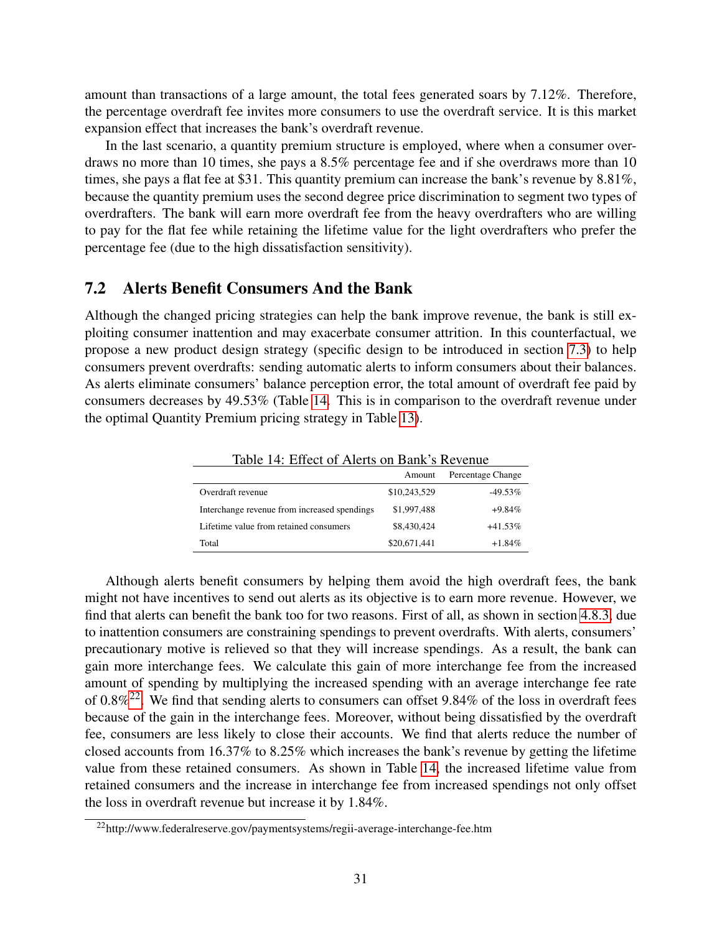amount than transactions of a large amount, the total fees generated soars by 7.12%. Therefore, the percentage overdraft fee invites more consumers to use the overdraft service. It is this market expansion effect that increases the bank's overdraft revenue.

In the last scenario, a quantity premium structure is employed, where when a consumer overdraws no more than 10 times, she pays a 8.5% percentage fee and if she overdraws more than 10 times, she pays a flat fee at \$31. This quantity premium can increase the bank's revenue by 8.81%, because the quantity premium uses the second degree price discrimination to segment two types of overdrafters. The bank will earn more overdraft fee from the heavy overdrafters who are willing to pay for the flat fee while retaining the lifetime value for the light overdrafters who prefer the percentage fee (due to the high dissatisfaction sensitivity).

## <span id="page-30-2"></span>7.2 Alerts Benefit Consumers And the Bank

Although the changed pricing strategies can help the bank improve revenue, the bank is still exploiting consumer inattention and may exacerbate consumer attrition. In this counterfactual, we propose a new product design strategy (specific design to be introduced in section [7.3\)](#page-31-0) to help consumers prevent overdrafts: sending automatic alerts to inform consumers about their balances. As alerts eliminate consumers' balance perception error, the total amount of overdraft fee paid by consumers decreases by 49.53% (Table [14.](#page-30-0) This is in comparison to the overdraft revenue under the optimal Quantity Premium pricing strategy in Table [13\)](#page-29-1).

<span id="page-30-0"></span>

| Table 14: Effect of Alerts on Bank's Revenue |              |                   |  |  |
|----------------------------------------------|--------------|-------------------|--|--|
|                                              | Amount       | Percentage Change |  |  |
| Overdraft revenue                            | \$10,243,529 | $-49.53\%$        |  |  |
| Interchange revenue from increased spendings | \$1,997,488  | $+9.84\%$         |  |  |
| Lifetime value from retained consumers       | \$8,430,424  | $+41.53\%$        |  |  |
| Total                                        | \$20,671,441 | $+1.84\%$         |  |  |

Although alerts benefit consumers by helping them avoid the high overdraft fees, the bank might not have incentives to send out alerts as its objective is to earn more revenue. However, we find that alerts can benefit the bank too for two reasons. First of all, as shown in section [4.8.3,](#page-22-3) due to inattention consumers are constraining spendings to prevent overdrafts. With alerts, consumers' precautionary motive is relieved so that they will increase spendings. As a result, the bank can gain more interchange fees. We calculate this gain of more interchange fee from the increased amount of spending by multiplying the increased spending with an average interchange fee rate of 0.8%[22](#page-30-1). We find that sending alerts to consumers can offset 9.84% of the loss in overdraft fees because of the gain in the interchange fees. Moreover, without being dissatisfied by the overdraft fee, consumers are less likely to close their accounts. We find that alerts reduce the number of closed accounts from 16.37% to 8.25% which increases the bank's revenue by getting the lifetime value from these retained consumers. As shown in Table [14,](#page-30-0) the increased lifetime value from retained consumers and the increase in interchange fee from increased spendings not only offset the loss in overdraft revenue but increase it by 1.84%.

<span id="page-30-1"></span><sup>&</sup>lt;sup>22</sup>http://www.federalreserve.gov/paymentsystems/regii-average-interchange-fee.htm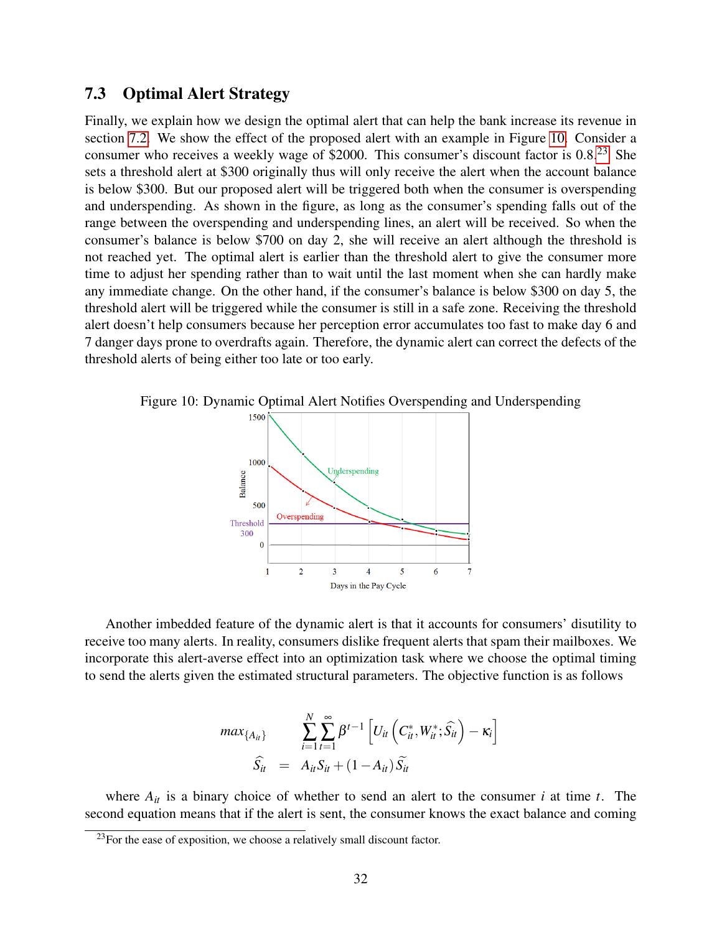## <span id="page-31-0"></span>7.3 Optimal Alert Strategy

Finally, we explain how we design the optimal alert that can help the bank increase its revenue in section [7.2.](#page-30-2) We show the effect of the proposed alert with an example in Figure [10.](#page-31-1) Consider a consumer who receives a weekly wage of \$2000. This consumer's discount factor is 0.8.<sup>[23](#page-31-2)</sup> She sets a threshold alert at \$300 originally thus will only receive the alert when the account balance is below \$300. But our proposed alert will be triggered both when the consumer is overspending and underspending. As shown in the figure, as long as the consumer's spending falls out of the range between the overspending and underspending lines, an alert will be received. So when the consumer's balance is below \$700 on day 2, she will receive an alert although the threshold is not reached yet. The optimal alert is earlier than the threshold alert to give the consumer more time to adjust her spending rather than to wait until the last moment when she can hardly make any immediate change. On the other hand, if the consumer's balance is below \$300 on day 5, the threshold alert will be triggered while the consumer is still in a safe zone. Receiving the threshold alert doesn't help consumers because her perception error accumulates too fast to make day 6 and 7 danger days prone to overdrafts again. Therefore, the dynamic alert can correct the defects of the threshold alerts of being either too late or too early.

Figure 10: Dynamic Optimal Alert Notifies Overspending and Underspending

<span id="page-31-1"></span>

Another imbedded feature of the dynamic alert is that it accounts for consumers' disutility to receive too many alerts. In reality, consumers dislike frequent alerts that spam their mailboxes. We incorporate this alert-averse effect into an optimization task where we choose the optimal timing to send the alerts given the estimated structural parameters. The objective function is as follows

$$
max_{\{A_{it}\}} \qquad \sum_{i=1}^{N} \sum_{t=1}^{\infty} \beta^{t-1} \left[ U_{it} \left( C_{it}^*, W_{it}^*; \widehat{S}_{it} \right) - \kappa_i \right]
$$

$$
\widehat{S}_{it} = A_{it} S_{it} + (1 - A_{it}) \widetilde{S}_{it}
$$

where  $A_{it}$  is a binary choice of whether to send an alert to the consumer *i* at time *t*. The second equation means that if the alert is sent, the consumer knows the exact balance and coming

<span id="page-31-2"></span> $^{23}$ For the ease of exposition, we choose a relatively small discount factor.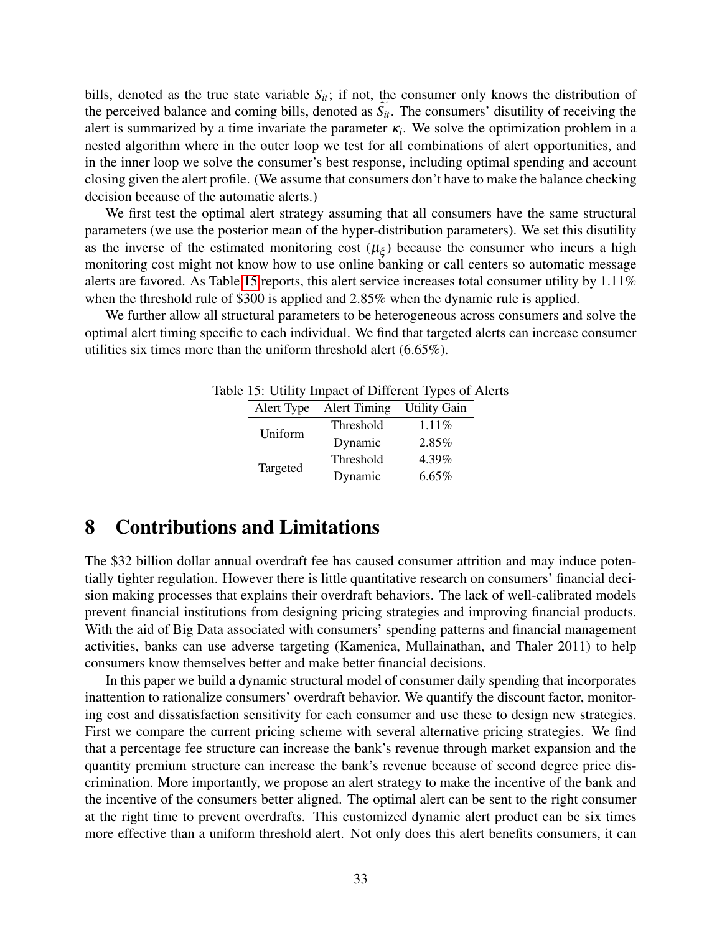bills, denoted as the true state variable  $S_{it}$ ; if not, the consumer only knows the distribution of the perceived balance and coming bills, denoted as  $\widetilde{S}_{it}$ . The consumers' disutility of receiving the alert is summarized by a time invariate the parameter  $\kappa_i$ . We solve the optimization problem in a nested algorithm where in the outer loop we test for all combinations of alert opportunities, and in the inner loop we solve the consumer's best response, including optimal spending and account closing given the alert profile. (We assume that consumers don't have to make the balance checking decision because of the automatic alerts.)

We first test the optimal alert strategy assuming that all consumers have the same structural parameters (we use the posterior mean of the hyper-distribution parameters). We set this disutility as the inverse of the estimated monitoring cost  $(\mu_{\xi})$  because the consumer who incurs a high monitoring cost might not know how to use online banking or call centers so automatic message alerts are favored. As Table [15](#page-32-1) reports, this alert service increases total consumer utility by 1.11% when the threshold rule of \$300 is applied and 2.85% when the dynamic rule is applied.

We further allow all structural parameters to be heterogeneous across consumers and solve the optimal alert timing specific to each individual. We find that targeted alerts can increase consumer utilities six times more than the uniform threshold alert (6.65%).

<span id="page-32-1"></span>

|  | IC 15. OTHER HIS REPORT OF DETERMINING TYPES OF $F$ |                     |                     |  |  |
|--|-----------------------------------------------------|---------------------|---------------------|--|--|
|  | Alert Type                                          | <b>Alert Timing</b> | <b>Utility Gain</b> |  |  |
|  |                                                     | Threshold           | $1.11\%$            |  |  |
|  | Uniform                                             | Dynamic             | 2.85%               |  |  |
|  |                                                     | Threshold           | 4.39%               |  |  |
|  | Targeted                                            | Dynamic             | 6.65%               |  |  |

Table 15: Utility Impact of Different Types of Alerts

## <span id="page-32-0"></span>8 Contributions and Limitations

The \$32 billion dollar annual overdraft fee has caused consumer attrition and may induce potentially tighter regulation. However there is little quantitative research on consumers' financial decision making processes that explains their overdraft behaviors. The lack of well-calibrated models prevent financial institutions from designing pricing strategies and improving financial products. With the aid of Big Data associated with consumers' spending patterns and financial management activities, banks can use adverse targeting (Kamenica, Mullainathan, and Thaler 2011) to help consumers know themselves better and make better financial decisions.

In this paper we build a dynamic structural model of consumer daily spending that incorporates inattention to rationalize consumers' overdraft behavior. We quantify the discount factor, monitoring cost and dissatisfaction sensitivity for each consumer and use these to design new strategies. First we compare the current pricing scheme with several alternative pricing strategies. We find that a percentage fee structure can increase the bank's revenue through market expansion and the quantity premium structure can increase the bank's revenue because of second degree price discrimination. More importantly, we propose an alert strategy to make the incentive of the bank and the incentive of the consumers better aligned. The optimal alert can be sent to the right consumer at the right time to prevent overdrafts. This customized dynamic alert product can be six times more effective than a uniform threshold alert. Not only does this alert benefits consumers, it can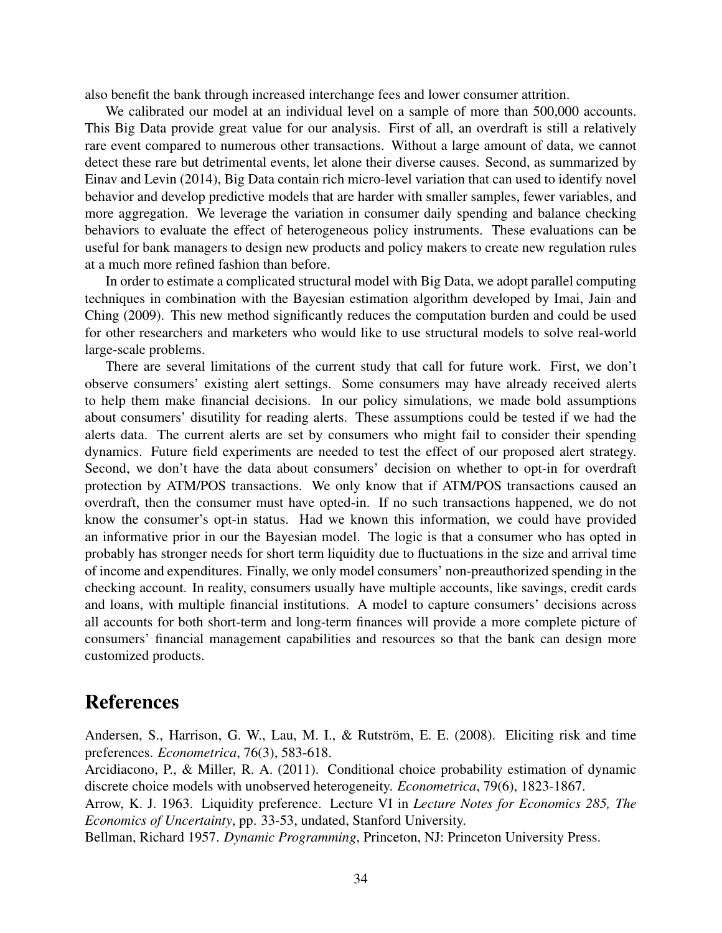also benefit the bank through increased interchange fees and lower consumer attrition.

We calibrated our model at an individual level on a sample of more than 500,000 accounts. This Big Data provide great value for our analysis. First of all, an overdraft is still a relatively rare event compared to numerous other transactions. Without a large amount of data, we cannot detect these rare but detrimental events, let alone their diverse causes. Second, as summarized by Einav and Levin (2014), Big Data contain rich micro-level variation that can used to identify novel behavior and develop predictive models that are harder with smaller samples, fewer variables, and more aggregation. We leverage the variation in consumer daily spending and balance checking behaviors to evaluate the effect of heterogeneous policy instruments. These evaluations can be useful for bank managers to design new products and policy makers to create new regulation rules at a much more refined fashion than before.

In order to estimate a complicated structural model with Big Data, we adopt parallel computing techniques in combination with the Bayesian estimation algorithm developed by Imai, Jain and Ching (2009). This new method significantly reduces the computation burden and could be used for other researchers and marketers who would like to use structural models to solve real-world large-scale problems.

There are several limitations of the current study that call for future work. First, we don't observe consumers' existing alert settings. Some consumers may have already received alerts to help them make financial decisions. In our policy simulations, we made bold assumptions about consumers' disutility for reading alerts. These assumptions could be tested if we had the alerts data. The current alerts are set by consumers who might fail to consider their spending dynamics. Future field experiments are needed to test the effect of our proposed alert strategy. Second, we don't have the data about consumers' decision on whether to opt-in for overdraft protection by ATM/POS transactions. We only know that if ATM/POS transactions caused an overdraft, then the consumer must have opted-in. If no such transactions happened, we do not know the consumer's opt-in status. Had we known this information, we could have provided an informative prior in our the Bayesian model. The logic is that a consumer who has opted in probably has stronger needs for short term liquidity due to fluctuations in the size and arrival time of income and expenditures. Finally, we only model consumers' non-preauthorized spending in the checking account. In reality, consumers usually have multiple accounts, like savings, credit cards and loans, with multiple financial institutions. A model to capture consumers' decisions across all accounts for both short-term and long-term finances will provide a more complete picture of consumers' financial management capabilities and resources so that the bank can design more customized products.

## References

Andersen, S., Harrison, G. W., Lau, M. I., & Rutström, E. E. (2008). Eliciting risk and time preferences. *Econometrica*, 76(3), 583-618.

Arcidiacono, P., & Miller, R. A. (2011). Conditional choice probability estimation of dynamic discrete choice models with unobserved heterogeneity. *Econometrica*, 79(6), 1823-1867.

Arrow, K. J. 1963. Liquidity preference. Lecture VI in *Lecture Notes for Economics 285, The Economics of Uncertainty*, pp. 33-53, undated, Stanford University.

Bellman, Richard 1957. *Dynamic Programming*, Princeton, NJ: Princeton University Press.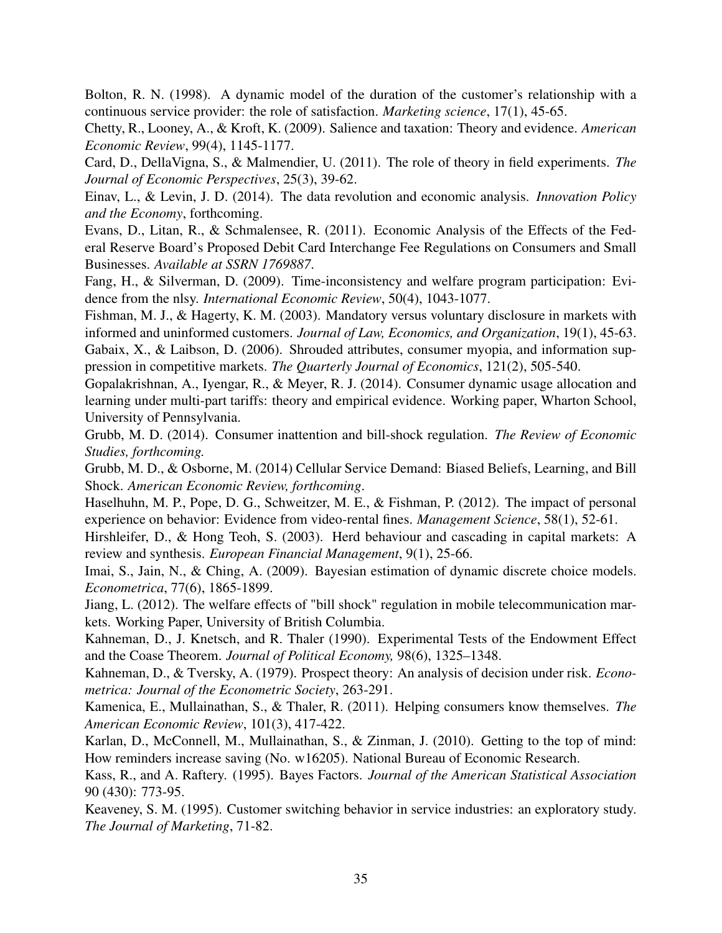Bolton, R. N. (1998). A dynamic model of the duration of the customer's relationship with a continuous service provider: the role of satisfaction. *Marketing science*, 17(1), 45-65.

Chetty, R., Looney, A., & Kroft, K. (2009). Salience and taxation: Theory and evidence. *American Economic Review*, 99(4), 1145-1177.

Card, D., DellaVigna, S., & Malmendier, U. (2011). The role of theory in field experiments. *The Journal of Economic Perspectives*, 25(3), 39-62.

Einav, L., & Levin, J. D. (2014). The data revolution and economic analysis. *Innovation Policy and the Economy*, forthcoming.

Evans, D., Litan, R., & Schmalensee, R. (2011). Economic Analysis of the Effects of the Federal Reserve Board's Proposed Debit Card Interchange Fee Regulations on Consumers and Small Businesses. *Available at SSRN 1769887*.

Fang, H., & Silverman, D. (2009). Time-inconsistency and welfare program participation: Evidence from the nlsy. *International Economic Review*, 50(4), 1043-1077.

Fishman, M. J., & Hagerty, K. M. (2003). Mandatory versus voluntary disclosure in markets with informed and uninformed customers. *Journal of Law, Economics, and Organization*, 19(1), 45-63. Gabaix, X., & Laibson, D. (2006). Shrouded attributes, consumer myopia, and information suppression in competitive markets. *The Quarterly Journal of Economics*, 121(2), 505-540.

Gopalakrishnan, A., Iyengar, R., & Meyer, R. J. (2014). Consumer dynamic usage allocation and learning under multi-part tariffs: theory and empirical evidence. Working paper, Wharton School, University of Pennsylvania.

Grubb, M. D. (2014). Consumer inattention and bill-shock regulation. *The Review of Economic Studies, forthcoming.*

Grubb, M. D., & Osborne, M. (2014) Cellular Service Demand: Biased Beliefs, Learning, and Bill Shock. *American Economic Review, forthcoming*.

Haselhuhn, M. P., Pope, D. G., Schweitzer, M. E., & Fishman, P. (2012). The impact of personal experience on behavior: Evidence from video-rental fines. *Management Science*, 58(1), 52-61.

Hirshleifer, D., & Hong Teoh, S. (2003). Herd behaviour and cascading in capital markets: A review and synthesis. *European Financial Management*, 9(1), 25-66.

Imai, S., Jain, N., & Ching, A. (2009). Bayesian estimation of dynamic discrete choice models. *Econometrica*, 77(6), 1865-1899.

Jiang, L. (2012). The welfare effects of "bill shock" regulation in mobile telecommunication markets. Working Paper, University of British Columbia.

Kahneman, D., J. Knetsch, and R. Thaler (1990). Experimental Tests of the Endowment Effect and the Coase Theorem. *Journal of Political Economy,* 98(6), 1325–1348.

Kahneman, D., & Tversky, A. (1979). Prospect theory: An analysis of decision under risk. *Econometrica: Journal of the Econometric Society*, 263-291.

Kamenica, E., Mullainathan, S., & Thaler, R. (2011). Helping consumers know themselves. *The American Economic Review*, 101(3), 417-422.

Karlan, D., McConnell, M., Mullainathan, S., & Zinman, J. (2010). Getting to the top of mind: How reminders increase saving (No. w16205). National Bureau of Economic Research.

Kass, R., and A. Raftery. (1995). Bayes Factors. *Journal of the American Statistical Association* 90 (430): 773-95.

Keaveney, S. M. (1995). Customer switching behavior in service industries: an exploratory study. *The Journal of Marketing*, 71-82.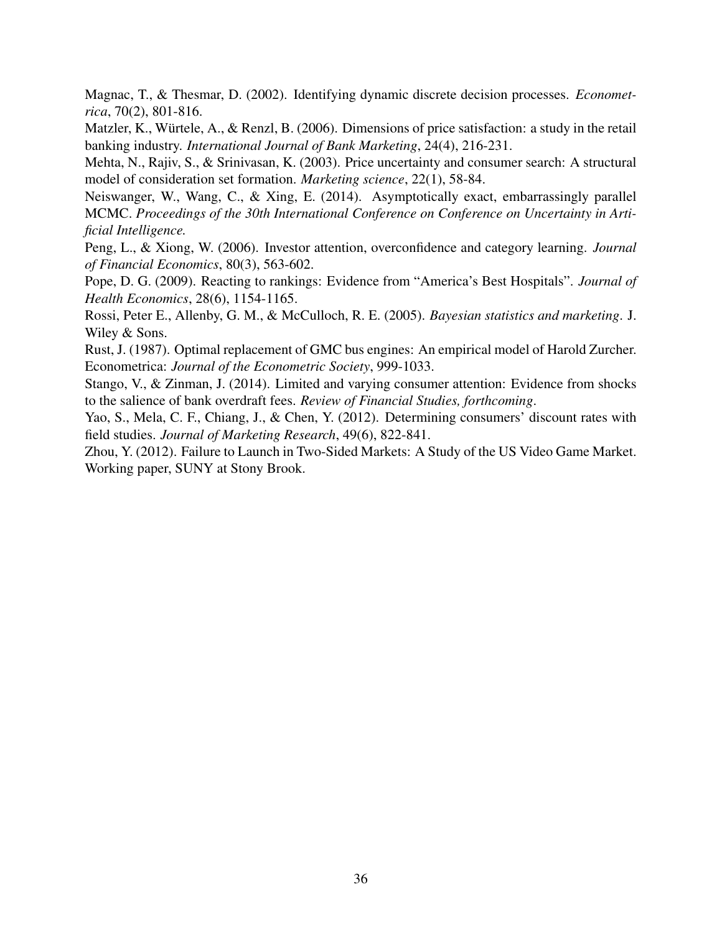Magnac, T., & Thesmar, D. (2002). Identifying dynamic discrete decision processes. *Econometrica*, 70(2), 801-816.

Matzler, K., Würtele, A., & Renzl, B. (2006). Dimensions of price satisfaction: a study in the retail banking industry. *International Journal of Bank Marketing*, 24(4), 216-231.

Mehta, N., Rajiv, S., & Srinivasan, K. (2003). Price uncertainty and consumer search: A structural model of consideration set formation. *Marketing science*, 22(1), 58-84.

Neiswanger, W., Wang, C., & Xing, E. (2014). Asymptotically exact, embarrassingly parallel MCMC. *Proceedings of the 30th International Conference on Conference on Uncertainty in Artificial Intelligence.*

Peng, L., & Xiong, W. (2006). Investor attention, overconfidence and category learning. *Journal of Financial Economics*, 80(3), 563-602.

Pope, D. G. (2009). Reacting to rankings: Evidence from "America's Best Hospitals". *Journal of Health Economics*, 28(6), 1154-1165.

Rossi, Peter E., Allenby, G. M., & McCulloch, R. E. (2005). *Bayesian statistics and marketing*. J. Wiley & Sons.

Rust, J. (1987). Optimal replacement of GMC bus engines: An empirical model of Harold Zurcher. Econometrica: *Journal of the Econometric Society*, 999-1033.

Stango, V., & Zinman, J. (2014). Limited and varying consumer attention: Evidence from shocks to the salience of bank overdraft fees. *Review of Financial Studies, forthcoming*.

Yao, S., Mela, C. F., Chiang, J., & Chen, Y. (2012). Determining consumers' discount rates with field studies. *Journal of Marketing Research*, 49(6), 822-841.

Zhou, Y. (2012). Failure to Launch in Two-Sided Markets: A Study of the US Video Game Market. Working paper, SUNY at Stony Brook.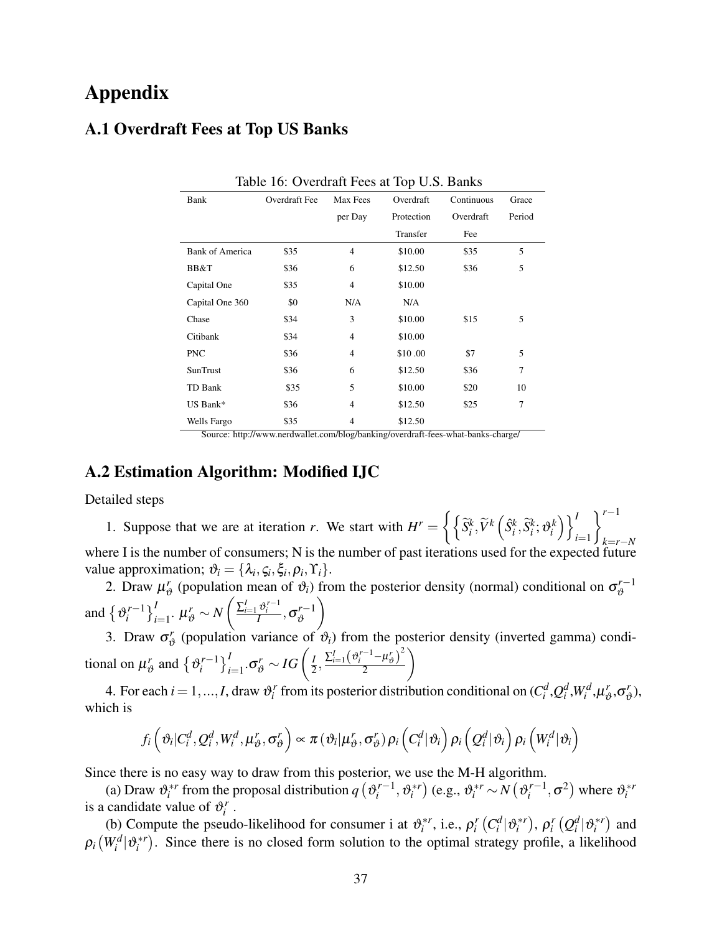## Appendix

## A.1 Overdraft Fees at Top US Banks

| Bank                   | Overdraft Fee | Max Fees       | Overdraft  | Continuous | Grace  |
|------------------------|---------------|----------------|------------|------------|--------|
|                        |               | per Day        | Protection | Overdraft  | Period |
|                        |               |                | Transfer   | Fee        |        |
| <b>Bank of America</b> | \$35          | 4              | \$10.00    | \$35       | 5      |
| BB&T                   | \$36          | 6              | \$12.50    | \$36       | 5      |
| Capital One            | \$35          | 4              | \$10.00    |            |        |
| Capital One 360        | \$0           | N/A            | N/A        |            |        |
| Chase                  | \$34          | 3              | \$10.00    | \$15       | 5      |
| Citibank               | \$34          | $\overline{4}$ | \$10.00    |            |        |
| <b>PNC</b>             | \$36          | $\overline{4}$ | \$10.00    | \$7        | 5      |
| SunTrust               | \$36          | 6              | \$12.50    | \$36       | 7      |
| TD Bank                | \$35          | 5              | \$10.00    | \$20       | 10     |
| US Bank*               | \$36          | 4              | \$12.50    | \$25       | 7      |
| Wells Fargo            | \$35          | 4              | \$12.50    |            |        |

Source: http://www.nerdwallet.com/blog/banking/overdraft-fees-what-banks-charge/

## A.2 Estimation Algorithm: Modified IJC

Detailed steps

1. Suppose that we are at iteration *r*. We start with  $H^r = \left\{ \left\{ \tilde{S}_i^k, \tilde{V}^k \left( \hat{S}_i^k, \tilde{S}_i^k; \vartheta_i^k \right) \right\} \right\}^r$ *i*=1 *r*−<sup>1</sup> *k*=*r*−*N* where I is the number of consumers; N is the number of past iterations used for the expected future value approximation;  $\vartheta_i = {\lambda_i, \varsigma_i, \xi_i, \rho_i, \Upsilon_i}.$ 

2. Draw  $\mu_{\varepsilon}^r$  $\sigma_{\theta}$ <sup>r</sup> (population mean of  $\vartheta_i$ ) from the posterior density (normal) conditional on  $\sigma_{\theta}^{r-1}$  $\vartheta$ and  $\{v_i^{r-1}\}$  $\left\{i^{r-1}\right\}_{i=1}^I$ .  $\mu_{\vartheta}^r \sim N$  $\left(\frac{\sum_{i=1}^I \vartheta_i^{r-1}}{I}, \sigma_{\vartheta}^{r-1}\right)$  $\vartheta$  $\setminus$ 

3. Draw  $\sigma_v^r$  $\phi$  (population variance of  $\vartheta_i$ ) from the posterior density (inverted gamma) conditional on  $\mu_{\varepsilon}^r$  $\mathbf{r}_{\theta}^{r}$  and  $\{\mathbf{v}_{i}^{r-1}\}$  $\left\{ \frac{r-1}{i} \right\}_{i=1}^I$ . $\sigma_{\vartheta}^r \sim IG\left(\frac{I}{2}\right)$  $\frac{I}{2}, \frac{\sum_{i=1}^{I}(\vartheta_i^{r-1}-\mu_{\vartheta}^{r})^2}{2}$ 2  $\setminus$ 

4. For each  $i = 1, ..., I$ , draw  $\vartheta_i^r$  from its posterior distribution conditional on  $(C_i^d, Q_i^d, W_i^d, \mu_i^r)$  $r_{\vartheta}^r, \sigma_{\vartheta}^r$  $\binom{r}{\vartheta}$ which is

$$
f_i\left(\vartheta_i|C_i^d,\mathcal{Q}_i^d,W_i^d,\mu_{\vartheta}^r,\sigma_{\vartheta}^r\right)\propto\pi\left(\vartheta_i|\mu_{\vartheta}^r,\sigma_{\vartheta}^r\right)\rho_i\left(C_i^d|\vartheta_i\right)\rho_i\left(Q_i^d|\vartheta_i\right)\rho_i\left(W_i^d|\vartheta_i\right)
$$

Since there is no easy way to draw from this posterior, we use the M-H algorithm.

(a) Draw  $\vartheta_i^{*r}$  from the proposal distribution  $q\left(\vartheta_i^{r-1}\right)$  $\mathbf{e}_i^{r-1}, \mathbf{\vartheta}_i^{*r}$ ) (e.g.,  $\mathbf{\vartheta}_i^{*r} \sim N(\mathbf{\vartheta}_i^{r-1})$  $\mathbf{z}_i^{r-1}, \sigma^2$ ) where  $\mathbf{\vartheta}_i^{*r}$ is a candidate value of  $\vartheta_i^r$ .

(b) Compute the pseudo-likelihood for consumer i at  $\vartheta_i^{*r}$ , i.e.,  $\rho_i^r(C_i^d|\vartheta_i^{*r})$ ,  $\rho_i^r(Q_i^d|\vartheta_i^{*r})$  and  $\rho_i(W_i^d | \mathfrak{v}_i^{*r})$ . Since there is no closed form solution to the optimal strategy profile, a likelihood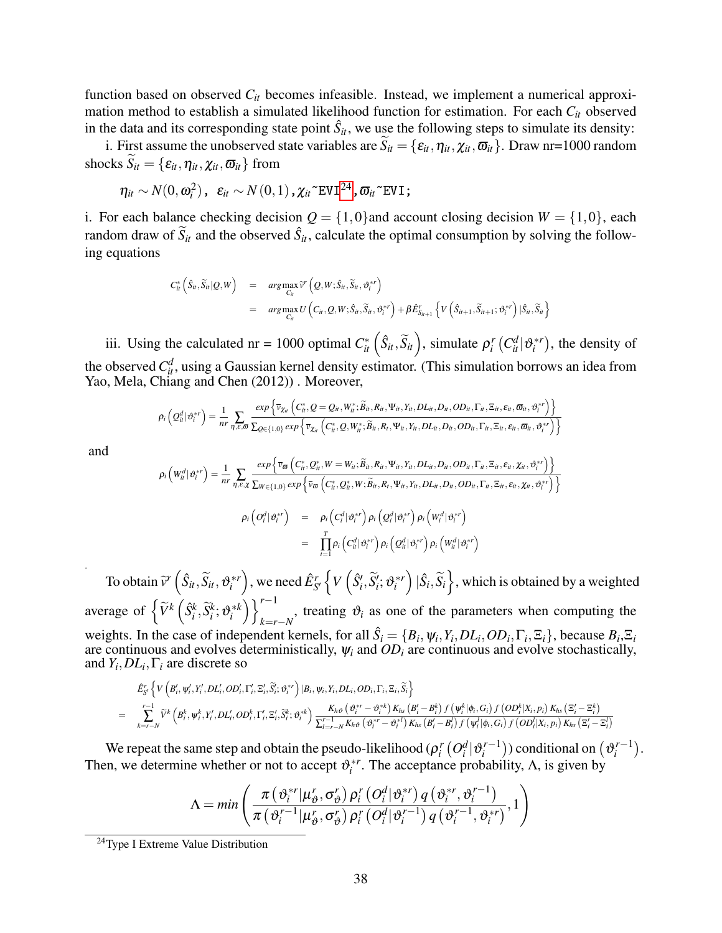function based on observed  $C<sub>it</sub>$  becomes infeasible. Instead, we implement a numerical approximation method to establish a simulated likelihood function for estimation. For each *Cit* observed in the data and its corresponding state point  $\hat{S}_{it}$ , we use the following steps to simulate its density:

i. First assume the unobserved state variables are  $\overline{S}_{it} = \{\varepsilon_{it}, \eta_{it}, \chi_{it}, \overline{\omega}_{it}\}\.$  Draw nr=1000 random shocks  $\widetilde{S}_{it} = {\varepsilon_{it}, \eta_{it}, \chi_{it}, \varpi_{it}}$  from

$$
\eta_{it} \sim N(0, \omega_i^2), \ \ \varepsilon_{it} \sim N(0, 1), \chi_{it} \text{FVI}^{24}, \varpi_{it} \text{FVI};
$$

i. For each balance checking decision  $Q = \{1,0\}$  and account closing decision  $W = \{1,0\}$ , each random draw of  $\tilde{S}_{it}$  and the observed  $\hat{S}_{it}$ , calculate the optimal consumption by solving the following equations

$$
C_{it}^{*}(\hat{S}_{it}, \widetilde{S}_{it}|Q, W) = arg \max_{C_H} \widetilde{V}'(Q, W; \hat{S}_{it}, \widetilde{S}_{it}, \vartheta_i^{*r})
$$
  
= 
$$
arg \max_{C_H} U(C_{it}, Q, W; \hat{S}_{it}, \widetilde{S}_{it}, \vartheta_i^{*r}) + \beta \hat{E}_{S_{it+1}}^{r} \left\{ V(\hat{S}_{it+1}, \widetilde{S}_{it+1}; \vartheta_i^{*r}) | \hat{S}_{it}, \widetilde{S}_{it} \right\}
$$

iii. Using the calculated nr = 1000 optimal  $C_{it}^*$   $(\hat{S}_{it}, \tilde{S}_{it})$ , simulate  $\rho_i^r$   $(C_{it}^d | \vartheta_i^{*r})$ , the density of the observed  $C_{\mu}^d$ , using a Gaussian kernel density estimator. (This simulation borrows an idea from Yao, Mela, Chiang and Chen (2012)) . Moreover,

$$
\rho_i\left(Q_{it}^{d}|\vartheta_i^{*r}\right)=\frac{1}{nr}\sum_{\eta,\varepsilon,\varpi}\frac{\exp\left\{\overline{v}_{\chi_{it}}\left(C_{it}^*,Q=Q_{it},W_{it}^*,\widetilde{B}_{it},R_{it},\Psi_{it},Y_{it},DL_{it},D_{it},OD_{it},\Gamma_{it},\Xi_{it},\varepsilon_{it},\varpi_{it},\vartheta_i^{*r}\right)\right\}}{\sum_{Q\in\{1,0\}}\exp\left\{\overline{v}_{\chi_{it}}\left(C_{it}^*,Q,W_{it}^*,\widetilde{B}_{it},R_{t},\Psi_{it},Y_{it},DL_{it},D_{it},OD_{it},\Gamma_{it},\Xi_{it},\varepsilon_{it},\varpi_{it},\vartheta_i^{*r}\right)\right\}}
$$

and

$$
\rho_i\left(W_{ii}^d|\vartheta_i^{*r}\right) = \frac{1}{nr} \sum_{\eta,\varepsilon,\chi} \frac{\exp\left\{\overline{v}_{\varpi}\left(C_{ii}^*,Q_{ii}^*,W=W_{ii};\widetilde{B}_{ii},R_{ii},\Psi_{ii},Y_{ii},DL_{ii},D_{ii},OD_{ii},\Gamma_{ii},\Xi_{ii},\varepsilon_{ii},\chi_{ii},\vartheta_i^{*r}\right)\right\}}{\sum_{W\in\{1,0\}} \exp\left\{\overline{v}_{\varpi}\left(C_{ii}^*,Q_{ii}^*,W;\widetilde{B}_{ii},R_{i},\Psi_{ii},Y_{ii},DL_{ii},D_{ii},OD_{ii},\Gamma_{ii},\Xi_{ii},\varepsilon_{ii},\chi_{ii},\vartheta_i^{*r}\right)\right\}}
$$
\n
$$
\rho_i\left(O_i^d|\vartheta_i^{*r}\right) = \rho_i\left(C_i^d|\vartheta_i^{*r}\right)\rho_i\left(Q_i^d|\vartheta_i^{*r}\right)\rho_i\left(W_i^d|\vartheta_i^{*r}\right)
$$
\n
$$
= \prod_{t=1}^T \rho_i\left(C_{ii}^d|\vartheta_i^{*r}\right)\rho_i\left(Q_{ii}^d|\vartheta_i^{*r}\right)\rho_i\left(W_{ii}^d|\vartheta_i^{*r}\right)
$$

. To obtain  $\widetilde{v}^r\left(\hat{S}_{it}, \widetilde{S}_{it}, \vartheta_i^{*r}\right)$ , we need  $\hat{E}_{S'}^r\left\{V\left(\hat{S}'_i, \widetilde{S}'_i; \vartheta_i^{*r}\right) | \hat{S}_i, \widetilde{S}_i\right\}$ , which is obtained by a weighted average of  $\left\{ \widetilde{V}^k \left( \widehat{S}_i^k, \widetilde{S}_i^k; \vartheta_i^{*k} \right) \right\}_{k=r}^{r-1}$  $k=r-N$ , treating  $\vartheta_i$  as one of the parameters when computing the weights. In the case of independent kernels, for all  $\hat{S}_i = \{B_i, \psi_i, Y_i, DL_i, OD_i, \Gamma_i, \Xi_i\}$ , because  $B_i, \Xi_i$ are continuous and evolves deterministically,  $\psi_i$  and  $OD_i$  are continuous and evolve stochastically, and  $Y_i, DL_i, \Gamma_i$  are discrete so

$$
\begin{aligned} &\hat{E}^r_S\left\{V\left(\bm{\beta}'_i, \bm{\psi}'_i, Y'_i, DL'_i, OD'_i, \Gamma'_i, \Xi'_i, \widetilde{S}'_i; \vartheta^{*r}_i\right)|\bm{\beta}_i, \bm{\psi}_i, Y_i, DL_i, OD_i, \Gamma_i, \Xi_i, \widetilde{S}_i\right\} \\ =&\sum_{k=r-N}^{r-1} \widetilde{V}^k\left(\bm{\beta}^k_i, \bm{\psi}^k_i, Y'_i, DL'_i, OD_i^k, \Gamma'_i, \Xi'_i, \widetilde{S}^k_i; \vartheta^{*k}_i\right) \frac{K_{h\vartheta}\left(\vartheta^{*r}_i - \vartheta^{*k}_i\right)K_{hs}\left(\bm{\beta}'_i - \bm{\beta}^k_i\right)f\left(\bm{\psi}^k_i|\bm{\phi}_i, G_i\right)f\left(OD^k_i|X_i, p_i\right)K_{hs}\left(\Xi'_i - \Xi^k_i\right)}{\sum'^r_{l=r-N}K_{h\vartheta}\left(\vartheta^{*r}_i - \vartheta^{*k}_i\right)K_{hs}\left(\bm{\beta}'_i - \bm{\beta}^l_i\right)f\left(\bm{\psi}^l_i|\bm{\phi}_i, G_i\right)f\left(OD^l_i|X_i, p_i\right)K_{hs}\left(\Xi'_i - \Xi^l_i\right)}\\ \end{aligned}
$$

We repeat the same step and obtain the pseudo-likelihood ( $\rho_i^r\left(O_i^d|\vartheta_i^{r-1}\right)$ *i*<sup>*r*−1</sup>) conditional on  $(v_i^{r-1})$  $\binom{r-1}{i}$ . Then, we determine whether or not to accept  $\vartheta_i^{*r}$ . The acceptance probability,  $\Lambda$ , is given by

$$
\Lambda = \min \left( \frac{\pi \left( \vartheta_i^{*r} | \mu_{\vartheta}^r, \sigma_{\vartheta}^r \right) \rho_i^r \left( O_i^d | \vartheta_i^{*r} \right) q \left( \vartheta_i^{*r}, \vartheta_i^{r-1} \right)}{\pi \left( \vartheta_i^{r-1} | \mu_{\vartheta}^r, \sigma_{\vartheta}^r \right) \rho_i^r \left( O_i^d | \vartheta_i^{r-1} \right) q \left( \vartheta_i^{r-1}, \vartheta_i^{*r} \right)}, 1 \right)
$$

<span id="page-37-0"></span><sup>&</sup>lt;sup>24</sup>Type I Extreme Value Distribution